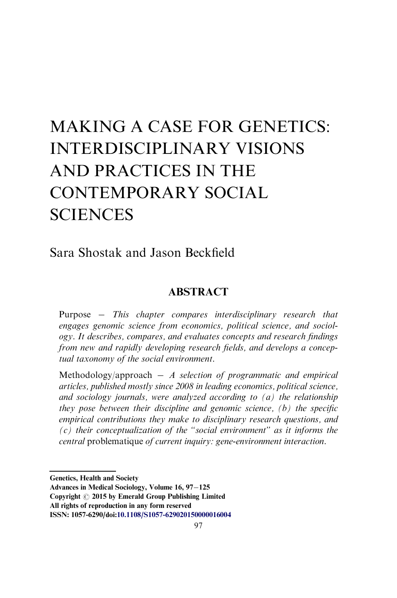# MAKING A CASE FOR GENETICS: INTERDISCIPLINARY VISIONS AND PRACTICES IN THE CONTEMPORARY SOCIAL **SCIENCES**

## Sara Shostak and Jason Beckfield

#### ABSTRACT

Purpose – This chapter compares interdisciplinary research that engages genomic science from economics, political science, and sociology. It describes, compares, and evaluates concepts and research findings from new and rapidly developing research fields, and develops a conceptual taxonomy of the social environment.

Methodology/approach  $-A$  selection of programmatic and empirical articles, published mostly since 2008 in leading economics, political science, and sociology journals, were analyzed according to  $(a)$  the relationship they pose between their discipline and genomic science, (b) the specific empirical contributions they make to disciplinary research questions, and  $(c)$  their conceptualization of the "social environment" as it informs the central problematique of current inquiry: gene-environment interaction.

Genetics, Health and Society

Advances in Medical Sociology, Volume  $16, 97-125$ 

Copyright  $\odot$  2015 by Emerald Group Publishing Limited

All rights of reproduction in any form reserved

ISSN: 1057-6290/doi:[10.1108/S1057-629020150000016004](http://dx.doi.org/10.1108/S1057-629020150000016004)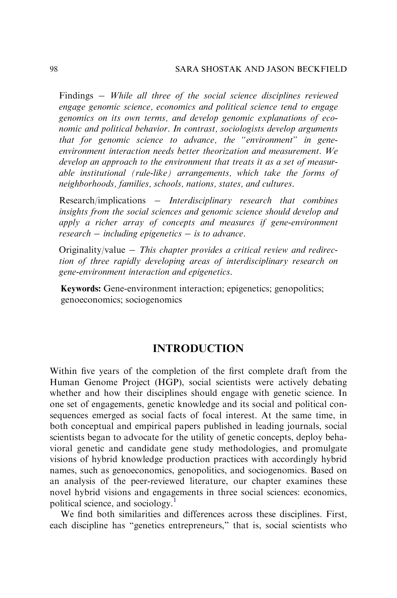#### 98 SARA SHOSTAK AND JASON BECKFIELD

Findings - While all three of the social science disciplines reviewed engage genomic science, economics and political science tend to engage genomics on its own terms, and develop genomic explanations of economic and political behavior. In contrast, sociologists develop arguments that for genomic science to advance, the "environment" in geneenvironment interaction needs better theorization and measurement. We develop an approach to the environment that treats it as a set of measurable institutional (rule-like) arrangements, which take the forms of neighborhoods, families, schools, nations, states, and cultures.

Research/implications – Interdisciplinary research that combines insights from the social sciences and genomic science should develop and apply a richer array of concepts and measures if gene-environment research  $-$  including epigenetics  $-$  is to advance.

Originality/value  $-$  This chapter provides a critical review and redirection of three rapidly developing areas of interdisciplinary research on gene-environment interaction and epigenetics.

Keywords: Gene-environment interaction; epigenetics; genopolitics; genoeconomics; sociogenomics

### INTRODUCTION

Within five years of the completion of the first complete draft from the Human Genome Project (HGP), social scientists were actively debating whether and how their disciplines should engage with genetic science. In one set of engagements, genetic knowledge and its social and political consequences emerged as social facts of focal interest. At the same time, in both conceptual and empirical papers published in leading journals, social scientists began to advocate for the utility of genetic concepts, deploy behavioral genetic and candidate gene study methodologies, and promulgate visions of hybrid knowledge production practices with accordingly hybrid names, such as genoeconomics, genopolitics, and sociogenomics. Based on an analysis of the peer-reviewed literature, our chapter examines these novel hybrid visions and engagements in three social sciences: economics, political science, and sociology[.1](#page-20-0)

We find both similarities and differences across these disciplines. First, each discipline has "genetics entrepreneurs," that is, social scientists who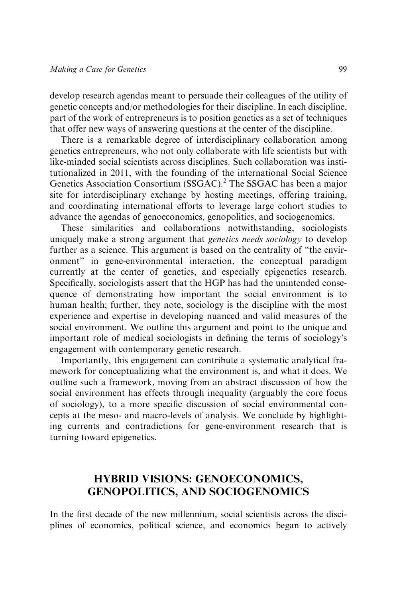develop research agendas meant to persuade their colleagues of the utility of genetic concepts and/or methodologies for their discipline. In each discipline, part of the work of entrepreneurs is to position genetics as a set of techniques that offer new ways of answering questions at the center of the discipline.

There is a remarkable degree of interdisciplinary collaboration among genetics entrepreneurs, who not only collaborate with life scientists but with like-minded social scientists across disciplines. Such collaboration was institutionalized in 2011, with the founding of the international Social Science Genetics Association Consortium (SSGAC).<sup>2</sup> The SSGAC has been a major site for interdisciplinary exchange by hosting meetings, offering training, and coordinating international efforts to leverage large cohort studies to advance the agendas of genoeconomics, genopolitics, and sociogenomics.

These similarities and collaborations notwithstanding, sociologists uniquely make a strong argument that genetics needs sociology to develop further as a science. This argument is based on the centrality of "the environment" in gene-environmental interaction, the conceptual paradigm currently at the center of genetics, and especially epigenetics research. Specifically, sociologists assert that the HGP has had the unintended consequence of demonstrating how important the social environment is to human health; further, they note, sociology is the discipline with the most experience and expertise in developing nuanced and valid measures of the social environment. We outline this argument and point to the unique and important role of medical sociologists in defining the terms of sociology's engagement with contemporary genetic research.

Importantly, this engagement can contribute a systematic analytical framework for conceptualizing what the environment is, and what it does. We outline such a framework, moving from an abstract discussion of how the social environment has effects through inequality (arguably the core focus of sociology), to a more specific discussion of social environmental concepts at the meso- and macro-levels of analysis. We conclude by highlighting currents and contradictions for gene-environment research that is turning toward epigenetics.

## HYBRID VISIONS: GENOECONOMICS, GENOPOLITICS, AND SOCIOGENOMICS

In the first decade of the new millennium, social scientists across the disciplines of economics, political science, and economics began to actively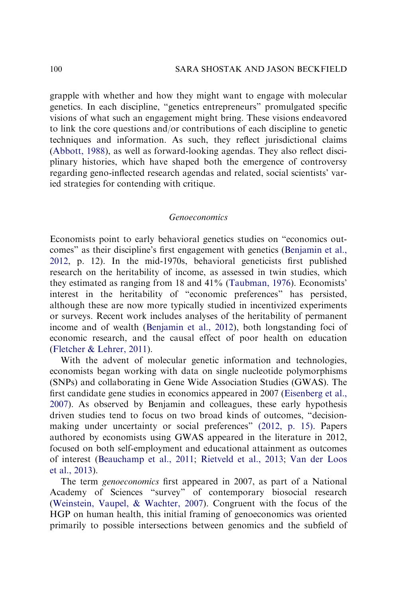grapple with whether and how they might want to engage with molecular genetics. In each discipline, "genetics entrepreneurs" promulgated specific visions of what such an engagement might bring. These visions endeavored to link the core questions and/or contributions of each discipline to genetic techniques and information. As such, they reflect jurisdictional claims [\(Abbott, 1988](#page-21-0)), as well as forward-looking agendas. They also reflect disciplinary histories, which have shaped both the emergence of controversy regarding geno-inflected research agendas and related, social scientists' varied strategies for contending with critique.

#### Genoeconomics

Economists point to early behavioral genetics studies on "economics outcomes" as their discipline's first engagement with genetics ([Benjamin et al.,](#page-22-0) [2012,](#page-22-0) p. 12). In the mid-1970s, behavioral geneticists first published research on the heritability of income, as assessed in twin studies, which they estimated as ranging from 18 and 41% ([Taubman, 1976\)](#page-27-0). Economists' interest in the heritability of "economic preferences" has persisted, although these are now more typically studied in incentivized experiments or surveys. Recent work includes analyses of the heritability of permanent income and of wealth ([Benjamin et al., 2012](#page-22-0)), both longstanding foci of economic research, and the causal effect of poor health on education [\(Fletcher & Lehrer, 2011\)](#page-24-0).

With the advent of molecular genetic information and technologies, economists began working with data on single nucleotide polymorphisms (SNPs) and collaborating in Gene Wide Association Studies (GWAS). The first candidate gene studies in economics appeared in 2007 ([Eisenberg et al.,](#page-24-0) [2007\)](#page-24-0). As observed by Benjamin and colleagues, these early hypothesis driven studies tend to focus on two broad kinds of outcomes, "decisionmaking under uncertainty or social preferences" [\(2012, p. 15\).](#page-22-0) Papers authored by economists using GWAS appeared in the literature in 2012, focused on both self-employment and educational attainment as outcomes of interest [\(Beauchamp et al., 2011;](#page-22-0) [Rietveld et al., 2013;](#page-27-0) [Van der Loos](#page-28-0) [et al., 2013](#page-28-0)).

The term genoeconomics first appeared in 2007, as part of a National Academy of Sciences "survey" of contemporary biosocial research [\(Weinstein, Vaupel, & Wachter, 2007\)](#page-28-0). Congruent with the focus of the HGP on human health, this initial framing of genoeconomics was oriented primarily to possible intersections between genomics and the subfield of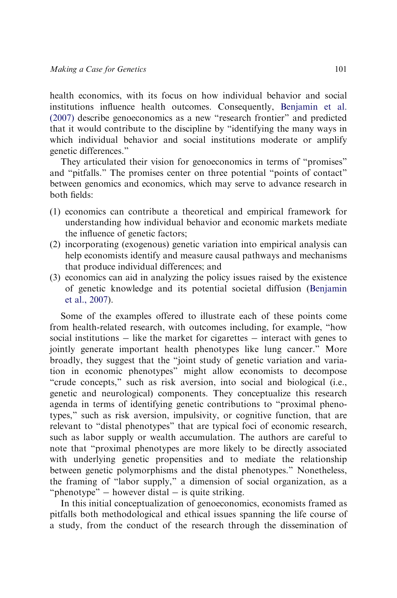health economics, with its focus on how individual behavior and social institutions influence health outcomes. Consequently, [Benjamin et al.](#page-22-0) [\(2007\)](#page-22-0) describe genoeconomics as a new "research frontier" and predicted that it would contribute to the discipline by "identifying the many ways in which individual behavior and social institutions moderate or amplify genetic differences."

They articulated their vision for genoeconomics in terms of "promises" and "pitfalls." The promises center on three potential "points of contact" between genomics and economics, which may serve to advance research in both fields:

- (1) economics can contribute a theoretical and empirical framework for understanding how individual behavior and economic markets mediate the influence of genetic factors;
- (2) incorporating (exogenous) genetic variation into empirical analysis can help economists identify and measure causal pathways and mechanisms that produce individual differences; and
- (3) economics can aid in analyzing the policy issues raised by the existence of genetic knowledge and its potential societal diffusion [\(Benjamin](#page-22-0) [et al., 2007](#page-22-0)).

Some of the examples offered to illustrate each of these points come from health-related research, with outcomes including, for example, "how social institutions  $\overline{\phantom{a}}$  like the market for cigarettes  $\overline{\phantom{a}}$  interact with genes to jointly generate important health phenotypes like lung cancer." More broadly, they suggest that the "joint study of genetic variation and variation in economic phenotypes" might allow economists to decompose "crude concepts," such as risk aversion, into social and biological (i.e., genetic and neurological) components. They conceptualize this research agenda in terms of identifying genetic contributions to "proximal phenotypes," such as risk aversion, impulsivity, or cognitive function, that are relevant to "distal phenotypes" that are typical foci of economic research, such as labor supply or wealth accumulation. The authors are careful to note that "proximal phenotypes are more likely to be directly associated with underlying genetic propensities and to mediate the relationship between genetic polymorphisms and the distal phenotypes." Nonetheless, the framing of "labor supply," a dimension of social organization, as a "phenotype"  $-$  however distal  $-$  is quite striking.

In this initial conceptualization of genoeconomics, economists framed as pitfalls both methodological and ethical issues spanning the life course of a study, from the conduct of the research through the dissemination of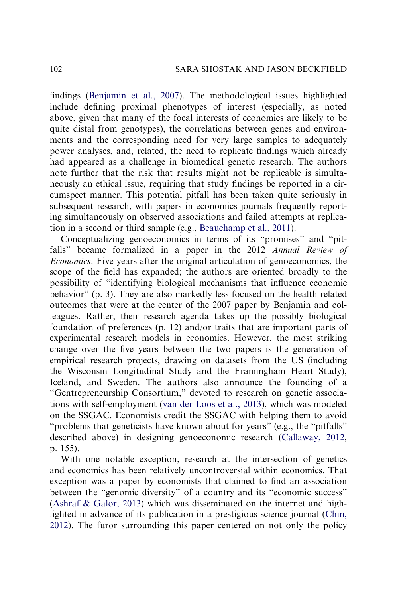findings [\(Benjamin et al., 2007](#page-22-0)). The methodological issues highlighted include defining proximal phenotypes of interest (especially, as noted above, given that many of the focal interests of economics are likely to be quite distal from genotypes), the correlations between genes and environments and the corresponding need for very large samples to adequately power analyses, and, related, the need to replicate findings which already had appeared as a challenge in biomedical genetic research. The authors note further that the risk that results might not be replicable is simultaneously an ethical issue, requiring that study findings be reported in a circumspect manner. This potential pitfall has been taken quite seriously in subsequent research, with papers in economics journals frequently reporting simultaneously on observed associations and failed attempts at replication in a second or third sample (e.g., [Beauchamp et al., 2011\)](#page-22-0).

Conceptualizing genoeconomics in terms of its "promises" and "pitfalls" became formalized in a paper in the 2012 Annual Review of Economics. Five years after the original articulation of genoeconomics, the scope of the field has expanded; the authors are oriented broadly to the possibility of "identifying biological mechanisms that influence economic behavior" (p. 3). They are also markedly less focused on the health related outcomes that were at the center of the 2007 paper by Benjamin and colleagues. Rather, their research agenda takes up the possibly biological foundation of preferences (p. 12) and/or traits that are important parts of experimental research models in economics. However, the most striking change over the five years between the two papers is the generation of empirical research projects, drawing on datasets from the US (including the Wisconsin Longitudinal Study and the Framingham Heart Study), Iceland, and Sweden. The authors also announce the founding of a "Gentrepreneurship Consortium," devoted to research on genetic associations with self-employment ([van der Loos et al., 2013\)](#page-28-0), which was modeled on the SSGAC. Economists credit the SSGAC with helping them to avoid "problems that geneticists have known about for years" (e.g., the "pitfalls" described above) in designing genoeconomic research ([Callaway, 2012](#page-23-0), p. 155).

With one notable exception, research at the intersection of genetics and economics has been relatively uncontroversial within economics. That exception was a paper by economists that claimed to find an association between the "genomic diversity" of a country and its "economic success" [\(Ashraf & Galor, 2013](#page-22-0)) which was disseminated on the internet and highlighted in advance of its publication in a prestigious science journal [\(Chin,](#page-23-0) [2012\)](#page-23-0). The furor surrounding this paper centered on not only the policy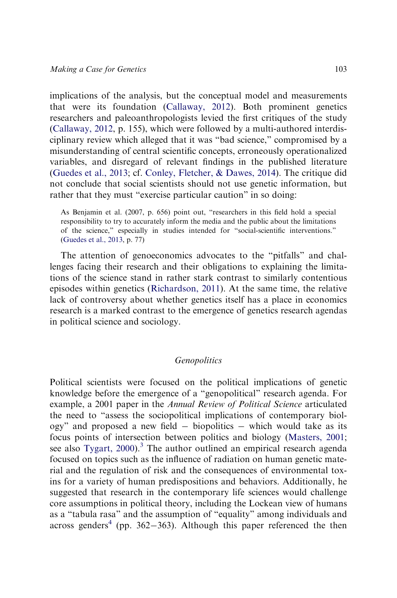implications of the analysis, but the conceptual model and measurements that were its foundation ([Callaway, 2012](#page-23-0)). Both prominent genetics researchers and paleoanthropologists levied the first critiques of the study [\(Callaway, 2012,](#page-23-0) p. 155), which were followed by a multi-authored interdisciplinary review which alleged that it was "bad science," compromised by a misunderstanding of central scientific concepts, erroneously operationalized variables, and disregard of relevant findings in the published literature [\(Guedes et al., 2013;](#page-24-0) cf. [Conley, Fletcher, & Dawes, 2014](#page-23-0)). The critique did not conclude that social scientists should not use genetic information, but rather that they must "exercise particular caution" in so doing:

As Benjamin et al. (2007, p. 656) point out, "researchers in this field hold a special responsibility to try to accurately inform the media and the public about the limitations of the science," especially in studies intended for "social-scientific interventions." ([Guedes et al., 2013](#page-24-0), p. 77)

The attention of genoeconomics advocates to the "pitfalls" and challenges facing their research and their obligations to explaining the limitations of the science stand in rather stark contrast to similarly contentious episodes within genetics ([Richardson, 2011](#page-26-0)). At the same time, the relative lack of controversy about whether genetics itself has a place in economics research is a marked contrast to the emergence of genetics research agendas in political science and sociology.

#### **Genopolitics**

Political scientists were focused on the political implications of genetic knowledge before the emergence of a "genopolitical" research agenda. For example, a 2001 paper in the Annual Review of Political Science articulated the need to "assess the sociopolitical implications of contemporary biology" and proposed a new field  $-$  biopolitics  $-$  which would take as its focus points of intersection between politics and biology ([Masters, 2001](#page-26-0); see also Tygart,  $2000$ ).<sup>[3](#page-20-0)</sup> The author outlined an empirical research agenda focused on topics such as the influence of radiation on human genetic material and the regulation of risk and the consequences of environmental toxins for a variety of human predispositions and behaviors. Additionally, he suggested that research in the contemporary life sciences would challenge core assumptions in political theory, including the Lockean view of humans as a "tabula rasa" and the assumption of "equality" among individuals and across genders<sup>[4](#page-20-0)</sup> (pp. 362–363). Although this paper referenced the then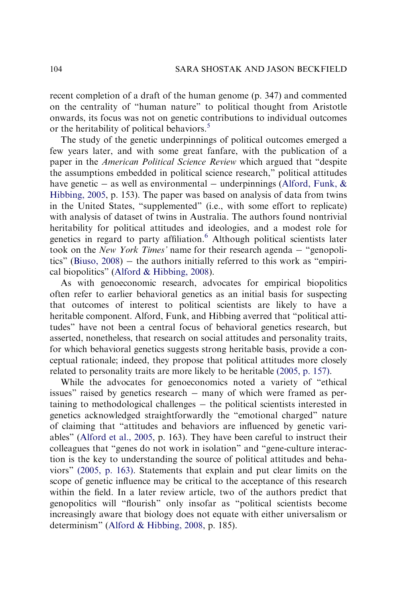recent completion of a draft of the human genome (p. 347) and commented on the centrality of "human nature" to political thought from Aristotle onwards, its focus was not on genetic contributions to individual outcomes or the heritability of political behaviors.<sup>[5](#page-20-0)</sup>

The study of the genetic underpinnings of political outcomes emerged a few years later, and with some great fanfare, with the publication of a paper in the American Political Science Review which argued that "despite the assumptions embedded in political science research," political attitudes have genetic  $-$  as well as environmental  $-$  underpinnings [\(Alford, Funk, &](#page-22-0) [Hibbing, 2005,](#page-22-0) p. 153). The paper was based on analysis of data from twins in the United States, "supplemented" (i.e., with some effort to replicate) with analysis of dataset of twins in Australia. The authors found nontrivial heritability for political attitudes and ideologies, and a modest role for genetics in regard to party affiliation. $6$  Although political scientists later took on the *New York Times'* name for their research agenda  $-$  "genopolitics" (Biuso,  $2008$ ) – the authors initially referred to this work as "empirical biopolitics" [\(Alford & Hibbing, 2008\)](#page-22-0).

As with genoeconomic research, advocates for empirical biopolitics often refer to earlier behavioral genetics as an initial basis for suspecting that outcomes of interest to political scientists are likely to have a heritable component. Alford, Funk, and Hibbing averred that "political attitudes" have not been a central focus of behavioral genetics research, but asserted, nonetheless, that research on social attitudes and personality traits, for which behavioral genetics suggests strong heritable basis, provide a conceptual rationale; indeed, they propose that political attitudes more closely related to personality traits are more likely to be heritable [\(2005, p. 157\).](#page-22-0)

While the advocates for genoeconomics noted a variety of "ethical issues" raised by genetics research – many of which were framed as pertaining to methodological challenges  $-$  the political scientists interested in genetics acknowledged straightforwardly the "emotional charged" nature of claiming that "attitudes and behaviors are influenced by genetic variables" ([Alford et al., 2005,](#page-22-0) p. 163). They have been careful to instruct their colleagues that "genes do not work in isolation" and "gene-culture interaction is the key to understanding the source of political attitudes and behaviors" [\(2005, p. 163\).](#page-22-0) Statements that explain and put clear limits on the scope of genetic influence may be critical to the acceptance of this research within the field. In a later review article, two of the authors predict that genopolitics will "flourish" only insofar as "political scientists become increasingly aware that biology does not equate with either universalism or determinism" ([Alford & Hibbing, 2008](#page-22-0), p. 185).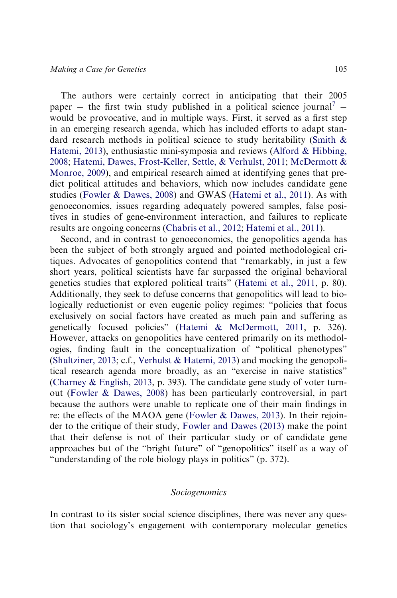The authors were certainly correct in anticipating that their 2005 paper – the first twin study published in a political science journal<sup>[7](#page-21-0)</sup> – would be provocative, and in multiple ways. First, it served as a first step in an emerging research agenda, which has included efforts to adapt standard research methods in political science to study heritability [\(Smith &](#page-27-0) [Hatemi, 2013\)](#page-27-0), enthusiastic mini-symposia and reviews [\(Alford & Hibbing,](#page-22-0) [2008;](#page-22-0) [Hatemi, Dawes, Frost-Keller, Settle, & Verhulst, 2011;](#page-25-0) [McDermott &](#page-26-0) [Monroe, 2009\)](#page-26-0), and empirical research aimed at identifying genes that predict political attitudes and behaviors, which now includes candidate gene studies ([Fowler & Dawes, 2008](#page-24-0)) and GWAS ([Hatemi et al., 2011](#page-25-0)). As with genoeconomics, issues regarding adequately powered samples, false positives in studies of gene-environment interaction, and failures to replicate results are ongoing concerns [\(Chabris et al., 2012;](#page-23-0) [Hatemi et al., 2011](#page-25-0)).

Second, and in contrast to genoeconomics, the genopolitics agenda has been the subject of both strongly argued and pointed methodological critiques. Advocates of genopolitics contend that "remarkably, in just a few short years, political scientists have far surpassed the original behavioral genetics studies that explored political traits" [\(Hatemi et al., 2011](#page-25-0), p. 80). Additionally, they seek to defuse concerns that genopolitics will lead to biologically reductionist or even eugenic policy regimes: "policies that focus exclusively on social factors have created as much pain and suffering as genetically focused policies" [\(Hatemi & McDermott, 2011,](#page-25-0) p. 326). However, attacks on genopolitics have centered primarily on its methodologies, finding fault in the conceptualization of "political phenotypes" [\(Shultziner, 2013](#page-27-0); c.f., [Verhulst & Hatemi, 2013\)](#page-28-0) and mocking the genopolitical research agenda more broadly, as an "exercise in naive statistics" [\(Charney & English, 2013](#page-23-0), p. 393). The candidate gene study of voter turnout [\(Fowler & Dawes, 2008\)](#page-24-0) has been particularly controversial, in part because the authors were unable to replicate one of their main findings in re: the effects of the MAOA gene [\(Fowler & Dawes, 2013](#page-24-0)). In their rejoinder to the critique of their study, [Fowler and Dawes \(2013\)](#page-24-0) make the point that their defense is not of their particular study or of candidate gene approaches but of the "bright future" of "genopolitics" itself as a way of "understanding of the role biology plays in politics" (p. 372).

#### Sociogenomics

In contrast to its sister social science disciplines, there was never any question that sociology's engagement with contemporary molecular genetics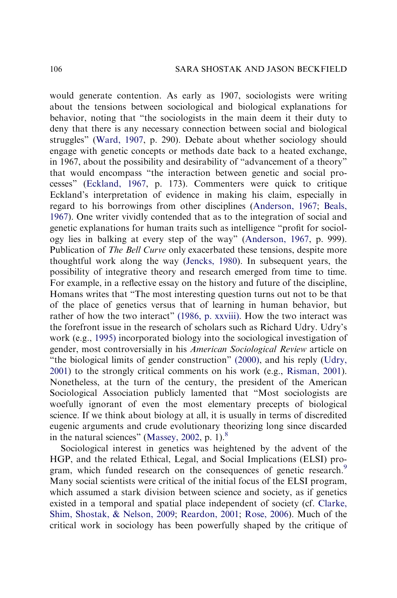would generate contention. As early as 1907, sociologists were writing about the tensions between sociological and biological explanations for behavior, noting that "the sociologists in the main deem it their duty to deny that there is any necessary connection between social and biological struggles" [\(Ward, 1907,](#page-28-0) p. 290). Debate about whether sociology should engage with genetic concepts or methods date back to a heated exchange, in 1967, about the possibility and desirability of "advancement of a theory" that would encompass "the interaction between genetic and social processes" ([Eckland, 1967](#page-24-0), p. 173). Commenters were quick to critique Eckland's interpretation of evidence in making his claim, especially in regard to his borrowings from other disciplines ([Anderson, 1967](#page-22-0); [Beals,](#page-22-0) [1967\)](#page-22-0). One writer vividly contended that as to the integration of social and genetic explanations for human traits such as intelligence "profit for sociology lies in balking at every step of the way" [\(Anderson, 1967](#page-22-0), p. 999). Publication of *The Bell Curve* only exacerbated these tensions, despite more thoughtful work along the way [\(Jencks, 1980](#page-25-0)). In subsequent years, the possibility of integrative theory and research emerged from time to time. For example, in a reflective essay on the history and future of the discipline, Homans writes that "The most interesting question turns out not to be that of the place of genetics versus that of learning in human behavior, but rather of how the two interact" [\(1986, p. xxviii\).](#page-25-0) How the two interact was the forefront issue in the research of scholars such as Richard Udry. Udry's work (e.g., [1995\)](#page-28-0) incorporated biology into the sociological investigation of gender, most controversially in his American Sociological Review article on "the biological limits of gender construction" [\(2000\),](#page-28-0) and his reply ([Udry,](#page-28-0) [2001\)](#page-28-0) to the strongly critical comments on his work (e.g., [Risman, 2001\)](#page-27-0). Nonetheless, at the turn of the century, the president of the American Sociological Association publicly lamented that "Most sociologists are woefully ignorant of even the most elementary precepts of biological science. If we think about biology at all, it is usually in terms of discredited eugenic arguments and crude evolutionary theorizing long since discarded in the natural sciences" [\(Massey, 2002,](#page-26-0) p. 1). $8$ 

Sociological interest in genetics was heightened by the advent of the HGP, and the related Ethical, Legal, and Social Implications (ELSI) pro-gram, which funded research on the consequences of genetic research.<sup>[9](#page-21-0)</sup> Many social scientists were critical of the initial focus of the ELSI program, which assumed a stark division between science and society, as if genetics existed in a temporal and spatial place independent of society (cf. [Clarke,](#page-23-0) [Shim, Shostak, & Nelson, 2009;](#page-23-0) [Reardon, 2001;](#page-26-0) [Rose, 2006](#page-27-0)). Much of the critical work in sociology has been powerfully shaped by the critique of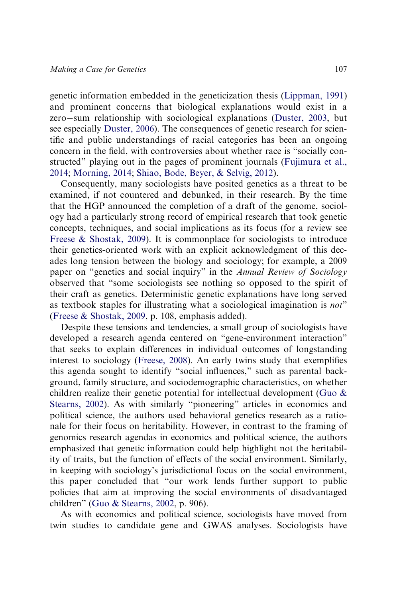genetic information embedded in the geneticization thesis [\(Lippman, 1991](#page-25-0)) and prominent concerns that biological explanations would exist in a zero-sum relationship with sociological explanations [\(Duster, 2003,](#page-24-0) but see especially [Duster, 2006](#page-24-0)). The consequences of genetic research for scientific and public understandings of racial categories has been an ongoing concern in the field, with controversies about whether race is "socially constructed" playing out in the pages of prominent journals ([Fujimura et al.,](#page-24-0) [2014;](#page-24-0) [Morning, 2014;](#page-26-0) [Shiao, Bode, Beyer, & Selvig, 2012\)](#page-27-0).

Consequently, many sociologists have posited genetics as a threat to be examined, if not countered and debunked, in their research. By the time that the HGP announced the completion of a draft of the genome, sociology had a particularly strong record of empirical research that took genetic concepts, techniques, and social implications as its focus (for a review see [Freese & Shostak, 2009](#page-24-0)). It is commonplace for sociologists to introduce their genetics-oriented work with an explicit acknowledgment of this decades long tension between the biology and sociology; for example, a 2009 paper on "genetics and social inquiry" in the Annual Review of Sociology observed that "some sociologists see nothing so opposed to the spirit of their craft as genetics. Deterministic genetic explanations have long served as textbook staples for illustrating what a sociological imagination is not" [\(Freese & Shostak, 2009,](#page-24-0) p. 108, emphasis added).

Despite these tensions and tendencies, a small group of sociologists have developed a research agenda centered on "gene-environment interaction" that seeks to explain differences in individual outcomes of longstanding interest to sociology [\(Freese, 2008\)](#page-24-0). An early twins study that exemplifies this agenda sought to identify "social influences," such as parental background, family structure, and sociodemographic characteristics, on whether children realize their genetic potential for intellectual development ([Guo &](#page-25-0) [Stearns, 2002\)](#page-25-0). As with similarly "pioneering" articles in economics and political science, the authors used behavioral genetics research as a rationale for their focus on heritability. However, in contrast to the framing of genomics research agendas in economics and political science, the authors emphasized that genetic information could help highlight not the heritability of traits, but the function of effects of the social environment. Similarly, in keeping with sociology's jurisdictional focus on the social environment, this paper concluded that "our work lends further support to public policies that aim at improving the social environments of disadvantaged children" ([Guo & Stearns, 2002](#page-25-0), p. 906).

As with economics and political science, sociologists have moved from twin studies to candidate gene and GWAS analyses. Sociologists have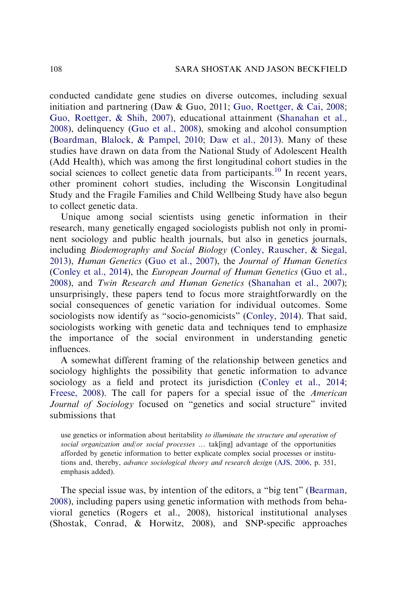conducted candidate gene studies on diverse outcomes, including sexual initiation and partnering (Daw & Guo, 2011; [Guo, Roettger, & Cai, 2008](#page-25-0); [Guo, Roettger, & Shih, 2007\)](#page-25-0), educational attainment [\(Shanahan et al.,](#page-27-0) [2008\)](#page-27-0), delinquency ([Guo et al., 2008](#page-25-0)), smoking and alcohol consumption [\(Boardman, Blalock, & Pampel, 2010](#page-22-0); [Daw et al., 2013\)](#page-23-0). Many of these studies have drawn on data from the National Study of Adolescent Health (Add Health), which was among the first longitudinal cohort studies in the social sciences to collect genetic data from participants.<sup>[10](#page-21-0)</sup> In recent years, other prominent cohort studies, including the Wisconsin Longitudinal Study and the Fragile Families and Child Wellbeing Study have also begun to collect genetic data.

Unique among social scientists using genetic information in their research, many genetically engaged sociologists publish not only in prominent sociology and public health journals, but also in genetics journals, including Biodemography and Social Biology ([Conley, Rauscher, & Siegal,](#page-23-0) [2013\)](#page-23-0), Human Genetics ([Guo et al., 2007](#page-25-0)), the Journal of Human Genetics [\(Conley et al., 2014](#page-23-0)), the European Journal of Human Genetics [\(Guo et al.,](#page-25-0) [2008\)](#page-25-0), and Twin Research and Human Genetics [\(Shanahan et al., 2007\)](#page-27-0); unsurprisingly, these papers tend to focus more straightforwardly on the social consequences of genetic variation for individual outcomes. Some sociologists now identify as "socio-genomicists" [\(Conley, 2014\)](#page-23-0). That said, sociologists working with genetic data and techniques tend to emphasize the importance of the social environment in understanding genetic influences.

A somewhat different framing of the relationship between genetics and sociology highlights the possibility that genetic information to advance sociology as a field and protect its jurisdiction [\(Conley et al., 2014](#page-23-0); [Freese, 2008\)](#page-24-0). The call for papers for a special issue of the American Journal of Sociology focused on "genetics and social structure" invited submissions that

use genetics or information about heritability to illuminate the structure and operation of social organization and/or social processes ... tak[ing] advantage of the opportunities afforded by genetic information to better explicate complex social processes or institutions and, thereby, advance sociological theory and research design ([AJS, 2006](#page-22-0), p. 351, emphasis added).

The special issue was, by intention of the editors, a "big tent" ([Bearman,](#page-22-0) [2008\)](#page-22-0), including papers using genetic information with methods from behavioral genetics (Rogers et al., 2008), historical institutional analyses (Shostak, Conrad, & Horwitz, 2008), and SNP-specific approaches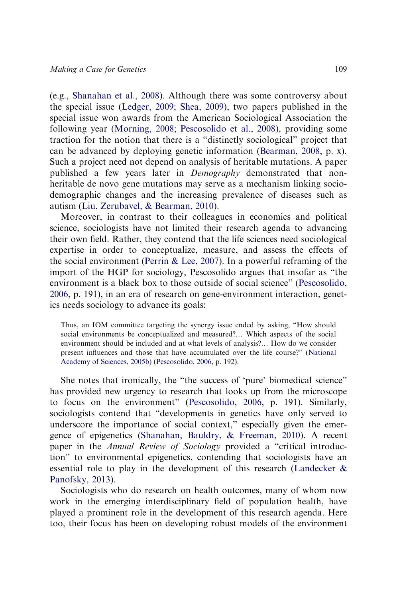(e.g., [Shanahan et al., 2008](#page-27-0)). Although there was some controversy about the special issue [\(Ledger, 2009;](#page-25-0) [Shea, 2009\)](#page-27-0), two papers published in the special issue won awards from the American Sociological Association the following year [\(Morning, 2008;](#page-26-0) [Pescosolido et al., 2008](#page-26-0)), providing some traction for the notion that there is a "distinctly sociological" project that can be advanced by deploying genetic information [\(Bearman, 2008](#page-22-0), p. x). Such a project need not depend on analysis of heritable mutations. A paper published a few years later in Demography demonstrated that nonheritable de novo gene mutations may serve as a mechanism linking sociodemographic changes and the increasing prevalence of diseases such as autism ([Liu, Zerubavel, & Bearman, 2010](#page-25-0)).

Moreover, in contrast to their colleagues in economics and political science, sociologists have not limited their research agenda to advancing their own field. Rather, they contend that the life sciences need sociological expertise in order to conceptualize, measure, and assess the effects of the social environment [\(Perrin & Lee, 2007\)](#page-26-0). In a powerful reframing of the import of the HGP for sociology, Pescosolido argues that insofar as "the environment is a black box to those outside of social science" [\(Pescosolido,](#page-26-0) [2006,](#page-26-0) p. 191), in an era of research on gene-environment interaction, genetics needs sociology to advance its goals:

Thus, an IOM committee targeting the synergy issue ended by asking, "How should social environments be conceptualized and measured?… Which aspects of the social environment should be included and at what levels of analysis?… How do we consider present influences and those that have accumulated over the life course?" ([National](#page-26-0) [Academy of Sciences, 2005b](#page-26-0)) ([Pescosolido, 2006,](#page-26-0) p. 192).

She notes that ironically, the "the success of 'pure' biomedical science" has provided new urgency to research that looks up from the microscope to focus on the environment" ([Pescosolido, 2006](#page-26-0), p. 191). Similarly, sociologists contend that "developments in genetics have only served to underscore the importance of social context," especially given the emergence of epigenetics ([Shanahan, Bauldry, & Freeman, 2010\)](#page-27-0). A recent paper in the Annual Review of Sociology provided a "critical introduction" to environmental epigenetics, contending that sociologists have an essential role to play in the development of this research [\(Landecker &](#page-25-0) [Panofsky, 2013\)](#page-25-0).

Sociologists who do research on health outcomes, many of whom now work in the emerging interdisciplinary field of population health, have played a prominent role in the development of this research agenda. Here too, their focus has been on developing robust models of the environment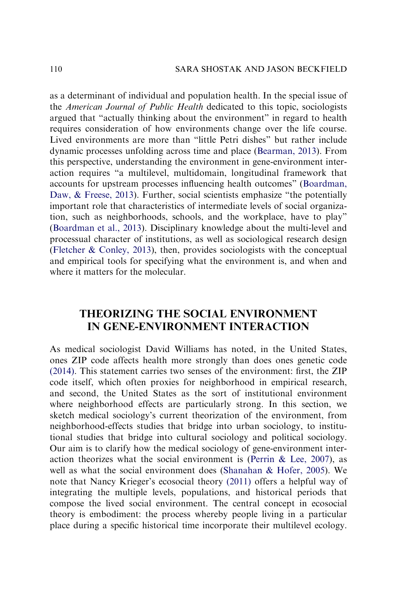as a determinant of individual and population health. In the special issue of the American Journal of Public Health dedicated to this topic, sociologists argued that "actually thinking about the environment" in regard to health requires consideration of how environments change over the life course. Lived environments are more than "little Petri dishes" but rather include dynamic processes unfolding across time and place [\(Bearman, 2013](#page-22-0)). From this perspective, understanding the environment in gene-environment interaction requires "a multilevel, multidomain, longitudinal framework that accounts for upstream processes influencing health outcomes" ([Boardman,](#page-23-0) [Daw, & Freese, 2013](#page-23-0)). Further, social scientists emphasize "the potentially important role that characteristics of intermediate levels of social organization, such as neighborhoods, schools, and the workplace, have to play" [\(Boardman et al., 2013\)](#page-23-0). Disciplinary knowledge about the multi-level and processual character of institutions, as well as sociological research design [\(Fletcher & Conley, 2013](#page-24-0)), then, provides sociologists with the conceptual and empirical tools for specifying what the environment is, and when and where it matters for the molecular.

## THEORIZING THE SOCIAL ENVIRONMENT IN GENE-ENVIRONMENT INTERACTION

As medical sociologist David Williams has noted, in the United States, ones ZIP code affects health more strongly than does ones genetic code [\(2014\).](#page-28-0) This statement carries two senses of the environment: first, the ZIP code itself, which often proxies for neighborhood in empirical research, and second, the United States as the sort of institutional environment where neighborhood effects are particularly strong. In this section, we sketch medical sociology's current theorization of the environment, from neighborhood-effects studies that bridge into urban sociology, to institutional studies that bridge into cultural sociology and political sociology. Our aim is to clarify how the medical sociology of gene-environment interaction theorizes what the social environment is ([Perrin & Lee, 2007](#page-26-0)), as well as what the social environment does [\(Shanahan & Hofer, 2005\)](#page-27-0). We note that Nancy Krieger's ecosocial theory [\(2011\)](#page-25-0) offers a helpful way of integrating the multiple levels, populations, and historical periods that compose the lived social environment. The central concept in ecosocial theory is embodiment: the process whereby people living in a particular place during a specific historical time incorporate their multilevel ecology.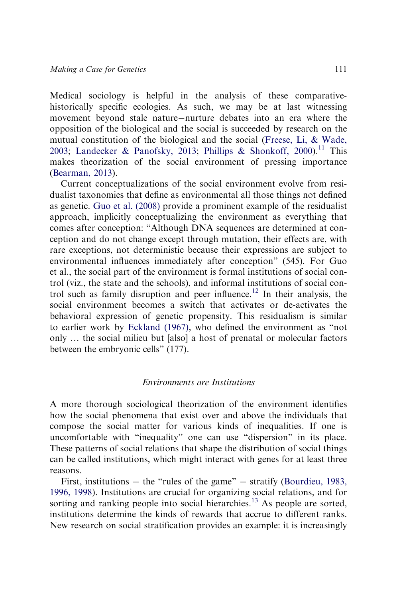Medical sociology is helpful in the analysis of these comparativehistorically specific ecologies. As such, we may be at last witnessing movement beyond stale nature-nurture debates into an era where the opposition of the biological and the social is succeeded by research on the mutual constitution of the biological and the social ([Freese, Li, & Wade,](#page-24-0) [2003;](#page-24-0) [Landecker & Panofsky, 2013](#page-25-0); [Phillips & Shonkoff, 2000](#page-26-0)).<sup>[11](#page-21-0)</sup> This makes theorization of the social environment of pressing importance [\(Bearman, 2013\)](#page-22-0).

Current conceptualizations of the social environment evolve from residualist taxonomies that define as environmental all those things not defined as genetic. [Guo et al. \(2008\)](#page-25-0) provide a prominent example of the residualist approach, implicitly conceptualizing the environment as everything that comes after conception: "Although DNA sequences are determined at conception and do not change except through mutation, their effects are, with rare exceptions, not deterministic because their expressions are subject to environmental influences immediately after conception" (545). For Guo et al., the social part of the environment is formal institutions of social control (viz., the state and the schools), and informal institutions of social con-trol such as family disruption and peer influence.<sup>[12](#page-21-0)</sup> In their analysis, the social environment becomes a switch that activates or de-activates the behavioral expression of genetic propensity. This residualism is similar to earlier work by [Eckland \(1967\),](#page-24-0) who defined the environment as "not only … the social milieu but [also] a host of prenatal or molecular factors between the embryonic cells" (177).

#### Environments are Institutions

A more thorough sociological theorization of the environment identifies how the social phenomena that exist over and above the individuals that compose the social matter for various kinds of inequalities. If one is uncomfortable with "inequality" one can use "dispersion" in its place. These patterns of social relations that shape the distribution of social things can be called institutions, which might interact with genes for at least three reasons.

First, institutions  $-$  the "rules of the game"  $-$  stratify (Bourdieu, 1983, 1996, 1998). Institutions are crucial for organizing social relations, and for sorting and ranking people into social hierarchies.<sup>[13](#page-21-0)</sup> As people are sorted, institutions determine the kinds of rewards that accrue to different ranks. New research on social stratification provides an example: it is increasingly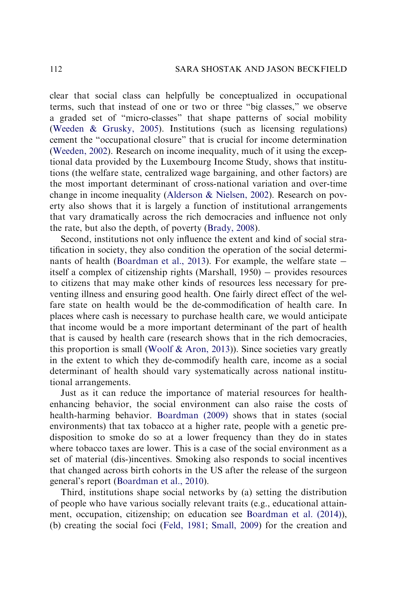clear that social class can helpfully be conceptualized in occupational terms, such that instead of one or two or three "big classes," we observe a graded set of "micro-classes" that shape patterns of social mobility [\(Weeden & Grusky, 2005](#page-28-0)). Institutions (such as licensing regulations) cement the "occupational closure" that is crucial for income determination [\(Weeden, 2002\)](#page-28-0). Research on income inequality, much of it using the exceptional data provided by the Luxembourg Income Study, shows that institutions (the welfare state, centralized wage bargaining, and other factors) are the most important determinant of cross-national variation and over-time change in income inequality [\(Alderson & Nielsen, 2002\)](#page-22-0). Research on poverty also shows that it is largely a function of institutional arrangements that vary dramatically across the rich democracies and influence not only the rate, but also the depth, of poverty [\(Brady, 2008](#page-23-0)).

Second, institutions not only influence the extent and kind of social stratification in society, they also condition the operation of the social determinants of health ([Boardman et al., 2013\)](#page-23-0). For example, the welfare state itself a complex of citizenship rights (Marshall,  $1950$ )  $-$  provides resources to citizens that may make other kinds of resources less necessary for preventing illness and ensuring good health. One fairly direct effect of the welfare state on health would be the de-commodification of health care. In places where cash is necessary to purchase health care, we would anticipate that income would be a more important determinant of the part of health that is caused by health care (research shows that in the rich democracies, this proportion is small (Woolf  $\&$  Aron, 2013)). Since societies vary greatly in the extent to which they de-commodify health care, income as a social determinant of health should vary systematically across national institutional arrangements.

Just as it can reduce the importance of material resources for healthenhancing behavior, the social environment can also raise the costs of health-harming behavior. [Boardman \(2009\)](#page-22-0) shows that in states (social environments) that tax tobacco at a higher rate, people with a genetic predisposition to smoke do so at a lower frequency than they do in states where tobacco taxes are lower. This is a case of the social environment as a set of material (dis-)incentives. Smoking also responds to social incentives that changed across birth cohorts in the US after the release of the surgeon general's report ([Boardman et al., 2010](#page-22-0)).

Third, institutions shape social networks by (a) setting the distribution of people who have various socially relevant traits (e.g., educational attainment, occupation, citizenship; on education see [Boardman et al. \(2014\)\)](#page-23-0), (b) creating the social foci [\(Feld, 1981](#page-24-0); [Small, 2009\)](#page-27-0) for the creation and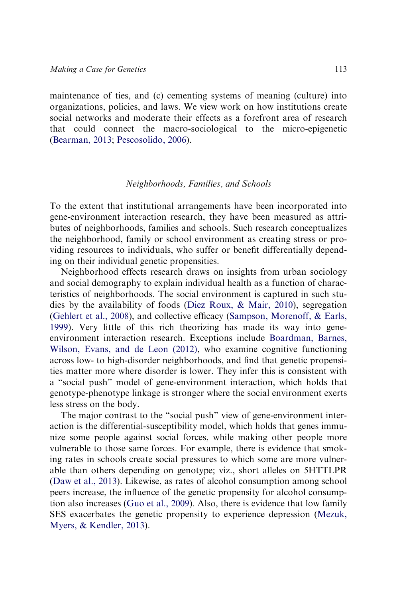maintenance of ties, and (c) cementing systems of meaning (culture) into organizations, policies, and laws. We view work on how institutions create social networks and moderate their effects as a forefront area of research that could connect the macro-sociological to the micro-epigenetic [\(Bearman, 2013](#page-22-0); [Pescosolido, 2006](#page-26-0)).

#### Neighborhoods, Families, and Schools

To the extent that institutional arrangements have been incorporated into gene-environment interaction research, they have been measured as attributes of neighborhoods, families and schools. Such research conceptualizes the neighborhood, family or school environment as creating stress or providing resources to individuals, who suffer or benefit differentially depending on their individual genetic propensities.

Neighborhood effects research draws on insights from urban sociology and social demography to explain individual health as a function of characteristics of neighborhoods. The social environment is captured in such studies by the availability of foods [\(Diez Roux, & Mair, 2010](#page-24-0)), segregation [\(Gehlert et al., 2008\)](#page-24-0), and collective efficacy [\(Sampson, Morenoff, & Earls,](#page-27-0) [1999\)](#page-27-0). Very little of this rich theorizing has made its way into geneenvironment interaction research. Exceptions include [Boardman, Barnes,](#page-22-0) [Wilson, Evans, and de Leon \(2012\)](#page-22-0), who examine cognitive functioning across low- to high-disorder neighborhoods, and find that genetic propensities matter more where disorder is lower. They infer this is consistent with a "social push" model of gene-environment interaction, which holds that genotype-phenotype linkage is stronger where the social environment exerts less stress on the body.

The major contrast to the "social push" view of gene-environment interaction is the differential-susceptibility model, which holds that genes immunize some people against social forces, while making other people more vulnerable to those same forces. For example, there is evidence that smoking rates in schools create social pressures to which some are more vulnerable than others depending on genotype; viz., short alleles on 5HTTLPR [\(Daw et al., 2013\)](#page-23-0). Likewise, as rates of alcohol consumption among school peers increase, the influence of the genetic propensity for alcohol consumption also increases [\(Guo et al., 2009\)](#page-25-0). Also, there is evidence that low family SES exacerbates the genetic propensity to experience depression [\(Mezuk,](#page-26-0) [Myers, & Kendler, 2013\)](#page-26-0).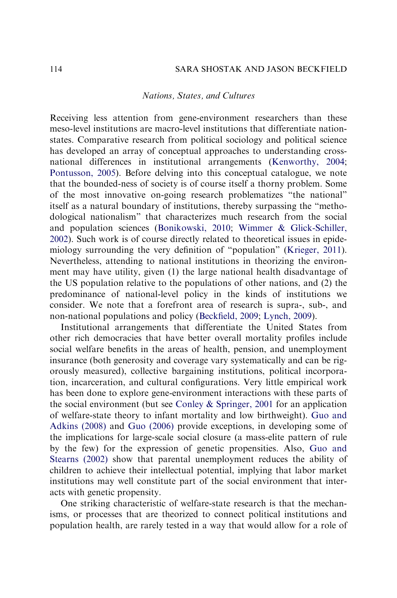#### Nations, States, and Cultures

Receiving less attention from gene-environment researchers than these meso-level institutions are macro-level institutions that differentiate nationstates. Comparative research from political sociology and political science has developed an array of conceptual approaches to understanding crossnational differences in institutional arrangements [\(Kenworthy, 2004](#page-25-0); [Pontusson, 2005\)](#page-26-0). Before delving into this conceptual catalogue, we note that the bounded-ness of society is of course itself a thorny problem. Some of the most innovative on-going research problematizes "the national" itself as a natural boundary of institutions, thereby surpassing the "methodological nationalism" that characterizes much research from the social and population sciences [\(Bonikowski, 2010](#page-23-0); [Wimmer & Glick-Schiller,](#page-28-0) [2002\)](#page-28-0). Such work is of course directly related to theoretical issues in epidemiology surrounding the very definition of "population" ([Krieger, 2011\)](#page-25-0). Nevertheless, attending to national institutions in theorizing the environment may have utility, given (1) the large national health disadvantage of the US population relative to the populations of other nations, and (2) the predominance of national-level policy in the kinds of institutions we consider. We note that a forefront area of research is supra-, sub-, and non-national populations and policy [\(Beckfield, 2009;](#page-22-0) [Lynch, 2009\)](#page-25-0).

Institutional arrangements that differentiate the United States from other rich democracies that have better overall mortality profiles include social welfare benefits in the areas of health, pension, and unemployment insurance (both generosity and coverage vary systematically and can be rigorously measured), collective bargaining institutions, political incorporation, incarceration, and cultural configurations. Very little empirical work has been done to explore gene-environment interactions with these parts of the social environment (but see [Conley & Springer, 2001](#page-23-0) for an application of welfare-state theory to infant mortality and low birthweight). [Guo and](#page-24-0) [Adkins \(2008\)](#page-24-0) and [Guo \(2006\)](#page-24-0) provide exceptions, in developing some of the implications for large-scale social closure (a mass-elite pattern of rule by the few) for the expression of genetic propensities. Also, [Guo and](#page-25-0) [Stearns \(2002\)](#page-25-0) show that parental unemployment reduces the ability of children to achieve their intellectual potential, implying that labor market institutions may well constitute part of the social environment that interacts with genetic propensity.

One striking characteristic of welfare-state research is that the mechanisms, or processes that are theorized to connect political institutions and population health, are rarely tested in a way that would allow for a role of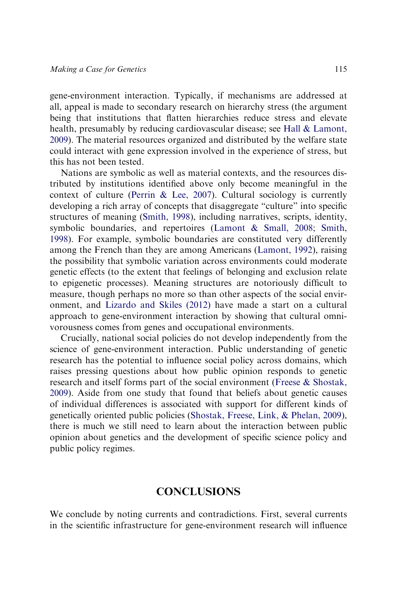gene-environment interaction. Typically, if mechanisms are addressed at all, appeal is made to secondary research on hierarchy stress (the argument being that institutions that flatten hierarchies reduce stress and elevate health, presumably by reducing cardiovascular disease; see [Hall & Lamont,](#page-25-0) [2009\)](#page-25-0). The material resources organized and distributed by the welfare state could interact with gene expression involved in the experience of stress, but this has not been tested.

Nations are symbolic as well as material contexts, and the resources distributed by institutions identified above only become meaningful in the context of culture [\(Perrin & Lee, 2007\)](#page-26-0). Cultural sociology is currently developing a rich array of concepts that disaggregate "culture" into specific structures of meaning [\(Smith, 1998\)](#page-27-0), including narratives, scripts, identity, symbolic boundaries, and repertoires [\(Lamont & Small, 2008;](#page-25-0) [Smith,](#page-27-0) [1998\)](#page-27-0). For example, symbolic boundaries are constituted very differently among the French than they are among Americans [\(Lamont, 1992](#page-25-0)), raising the possibility that symbolic variation across environments could moderate genetic effects (to the extent that feelings of belonging and exclusion relate to epigenetic processes). Meaning structures are notoriously difficult to measure, though perhaps no more so than other aspects of the social environment, and [Lizardo and Skiles \(2012\)](#page-25-0) have made a start on a cultural approach to gene-environment interaction by showing that cultural omnivorousness comes from genes and occupational environments.

Crucially, national social policies do not develop independently from the science of gene-environment interaction. Public understanding of genetic research has the potential to influence social policy across domains, which raises pressing questions about how public opinion responds to genetic research and itself forms part of the social environment ([Freese & Shostak,](#page-24-0) [2009\)](#page-24-0). Aside from one study that found that beliefs about genetic causes of individual differences is associated with support for different kinds of genetically oriented public policies ([Shostak, Freese, Link, & Phelan, 2009\)](#page-27-0), there is much we still need to learn about the interaction between public opinion about genetics and the development of specific science policy and public policy regimes.

## **CONCLUSIONS**

We conclude by noting currents and contradictions. First, several currents in the scientific infrastructure for gene-environment research will influence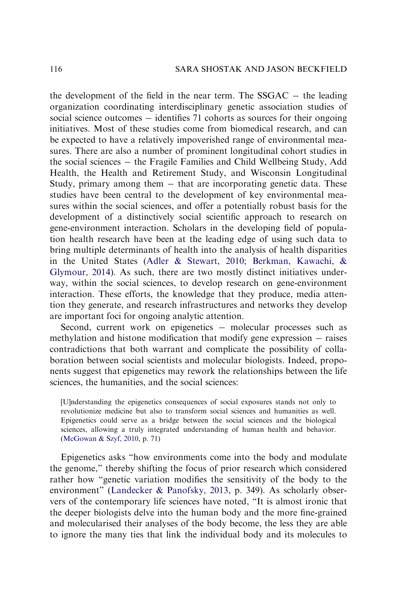the development of the field in the near term. The  $SSGAC -$  the leading organization coordinating interdisciplinary genetic association studies of social science outcomes  $-$  identifies 71 cohorts as sources for their ongoing initiatives. Most of these studies come from biomedical research, and can be expected to have a relatively impoverished range of environmental measures. There are also a number of prominent longitudinal cohort studies in the social sciences the Fragile Families and Child Wellbeing Study, Add Health, the Health and Retirement Study, and Wisconsin Longitudinal Study, primary among them  $-$  that are incorporating genetic data. These studies have been central to the development of key environmental measures within the social sciences, and offer a potentially robust basis for the development of a distinctively social scientific approach to research on gene-environment interaction. Scholars in the developing field of population health research have been at the leading edge of using such data to bring multiple determinants of health into the analysis of health disparities in the United States [\(Adler & Stewart, 2010](#page-22-0); [Berkman, Kawachi, &](#page-22-0) [Glymour, 2014\)](#page-22-0). As such, there are two mostly distinct initiatives underway, within the social sciences, to develop research on gene-environment interaction. These efforts, the knowledge that they produce, media attention they generate, and research infrastructures and networks they develop are important foci for ongoing analytic attention.

Second, current work on epigenetics – molecular processes such as methylation and histone modification that modify gene expression  $-$  raises contradictions that both warrant and complicate the possibility of collaboration between social scientists and molecular biologists. Indeed, proponents suggest that epigenetics may rework the relationships between the life sciences, the humanities, and the social sciences:

[U]nderstanding the epigenetics consequences of social exposures stands not only to revolutionize medicine but also to transform social sciences and humanities as well. Epigenetics could serve as a bridge between the social sciences and the biological sciences, allowing a truly integrated understanding of human health and behavior. ([McGowan & Szyf, 2010](#page-26-0), p. 71)

Epigenetics asks "how environments come into the body and modulate the genome," thereby shifting the focus of prior research which considered rather how "genetic variation modifies the sensitivity of the body to the environment" [\(Landecker & Panofsky, 2013,](#page-25-0) p. 349). As scholarly observers of the contemporary life sciences have noted, "It is almost ironic that the deeper biologists delve into the human body and the more fine-grained and molecularised their analyses of the body become, the less they are able to ignore the many ties that link the individual body and its molecules to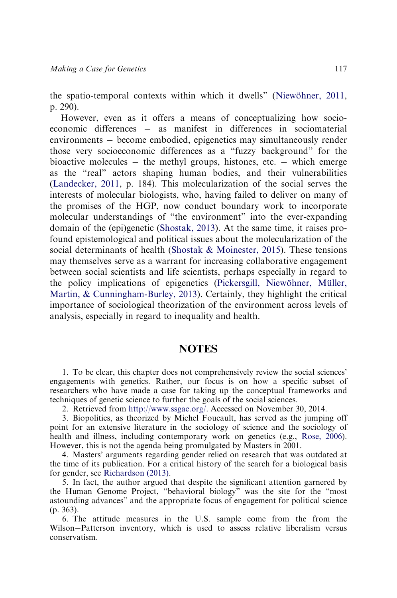<span id="page-20-0"></span>the spatio-temporal contexts within which it dwells" (Niewöhner, 2011, p. 290).

However, even as it offers a means of conceptualizing how socioeconomic differences as manifest in differences in sociomaterial environments – become embodied, epigenetics may simultaneously render those very socioeconomic differences as a "fuzzy background" for the bioactive molecules  $-$  the methyl groups, histones, etc.  $-$  which emerge as the "real" actors shaping human bodies, and their vulnerabilities [\(Landecker, 2011,](#page-25-0) p. 184). This molecularization of the social serves the interests of molecular biologists, who, having failed to deliver on many of the promises of the HGP, now conduct boundary work to incorporate molecular understandings of "the environment" into the ever-expanding domain of the (epi)genetic ([Shostak, 2013\)](#page-27-0). At the same time, it raises profound epistemological and political issues about the molecularization of the social determinants of health [\(Shostak & Moinester, 2015](#page-27-0)). These tensions may themselves serve as a warrant for increasing collaborative engagement between social scientists and life scientists, perhaps especially in regard to the policy implications of epigenetics (Pickersgill, Niewöhner, Müller, [Martin, & Cunningham-Burley, 2013](#page-26-0)). Certainly, they highlight the critical importance of sociological theorization of the environment across levels of analysis, especially in regard to inequality and health.

#### **NOTES**

1. To be clear, this chapter does not comprehensively review the social sciences' engagements with genetics. Rather, our focus is on how a specific subset of researchers who have made a case for taking up the conceptual frameworks and techniques of genetic science to further the goals of the social sciences.

2. Retrieved from [http://www.ssgac.org/.](http://www.ssgac.org/) Accessed on November 30, 2014.

3. Biopolitics, as theorized by Michel Foucault, has served as the jumping off point for an extensive literature in the sociology of science and the sociology of health and illness, including contemporary work on genetics (e.g., [Rose, 2006](#page-27-0)). However, this is not the agenda being promulgated by Masters in 2001.

4. Masters' arguments regarding gender relied on research that was outdated at the time of its publication. For a critical history of the search for a biological basis for gender, see [Richardson \(2013\)](#page-26-0).

5. In fact, the author argued that despite the significant attention garnered by the Human Genome Project, "behavioral biology" was the site for the "most astounding advances" and the appropriate focus of engagement for political science (p. 363).

6. The attitude measures in the U.S. sample come from the from the Wilson-Patterson inventory, which is used to assess relative liberalism versus conservatism.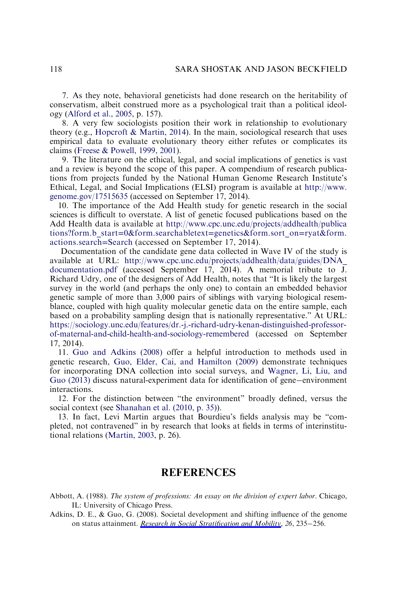<span id="page-21-0"></span>7. As they note, behavioral geneticists had done research on the heritability of conservatism, albeit construed more as a psychological trait than a political ideology [\(Alford et al., 2005](#page-22-0), p. 157).

8. A very few sociologists position their work in relationship to evolutionary theory (e.g., [Hopcroft & Martin, 2014\)](#page-25-0). In the main, sociological research that uses empirical data to evaluate evolutionary theory either refutes or complicates its claims (Freese & Powell, 1999, 2001).

9. The literature on the ethical, legal, and social implications of genetics is vast and a review is beyond the scope of this paper. A compendium of research publications from projects funded by the National Human Genome Research Institute's Ethical, Legal, and Social Implications (ELSI) program is available at [http://www.](http://www.genome.gov/17515635) [genome.gov/17515635](http://www.genome.gov/17515635) (accessed on September 17, 2014).

10. The importance of the Add Health study for genetic research in the social sciences is difficult to overstate. A list of genetic focused publications based on the Add Health data is available at [http://www.cpc.unc.edu/projects/addhealth/publica](http://www.cpc.unc.edu/projects/addhealth/publications?form.b_start=0&form.searchabletext=genetics&form.sort_on=ryat&form.actions.search=Search) tions?form.b\_start=0&form.searchabletext=[genetics&form.sort\\_on](http://www.cpc.unc.edu/projects/addhealth/publications?form.b_start=0&form.searchabletext=genetics&form.sort_on=ryat&form.actions.search=Search)=ryat&form. [actions.search](http://www.cpc.unc.edu/projects/addhealth/publications?form.b_start=0&form.searchabletext=genetics&form.sort_on=ryat&form.actions.search=Search)=Search (accessed on September 17, 2014).

Documentation of the candidate gene data collected in Wave IV of the study is available at URL: [http://www.cpc.unc.edu/projects/addhealth/data/guides/DNA\\_](http://www.cpc.unc.edu/projects/addhealth/data/guides/DNA_documentation.pdf) [documentation.pdf](http://www.cpc.unc.edu/projects/addhealth/data/guides/DNA_documentation.pdf) (accessed September 17, 2014). A memorial tribute to J. Richard Udry, one of the designers of Add Health, notes that "It is likely the largest survey in the world (and perhaps the only one) to contain an embedded behavior genetic sample of more than 3,000 pairs of siblings with varying biological resemblance, coupled with high quality molecular genetic data on the entire sample, each based on a probability sampling design that is nationally representative." At URL: [https://sociology.unc.edu/features/dr.-j.-richard-udry-kenan-distinguished-professor](https://sociology.unc.edu/features/dr.-j.-richard-udry-kenan-distinguished-professor-of-maternal-and-child-health-and-sociology-remembered)[of-maternal-and-child-health-and-sociology-remembered](https://sociology.unc.edu/features/dr.-j.-richard-udry-kenan-distinguished-professor-of-maternal-and-child-health-and-sociology-remembered) (accessed on September 17, 2014).

11. [Guo and Adkins \(2008\)](#page-24-0) offer a helpful introduction to methods used in genetic research, [Guo, Elder, Cai, and Hamilton \(2009\)](#page-24-0) demonstrate techniques for incorporating DNA collection into social surveys, and [Wagner, Li, Liu, and](#page-28-0) Guo  $(2013)$  discuss natural-experiment data for identification of gene-environment interactions.

12. For the distinction between "the environment" broadly defined, versus the social context (see [Shanahan et al. \(2010, p. 35\)](#page-27-0)).

13. In fact, Levi Martin argues that Bourdieu's fields analysis may be "completed, not contravened" in by research that looks at fields in terms of interinstitutional relations [\(Martin, 2003](#page-26-0), p. 26).

#### **REFERENCES**

Abbott, A. (1988). The system of professions: An essay on the division of expert labor. Chicago, IL: University of Chicago Press.

Adkins, D. E., & Guo, G. (2008). Societal development and shifting influence of the genome on status attainment. [Research in Social Stratification and Mobility](http://www.emeraldinsight.com/action/showLinks?crossref=10.1016%2Fj.rssm.2008.06.001), 26, 235–256.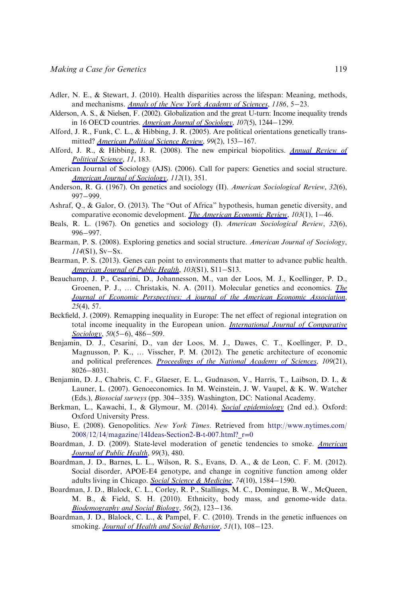- <span id="page-22-0"></span>Adler, N. E., & Stewart, J. (2010). Health disparities across the lifespan: Meaning, methods, and mechanisms. [Annals of the New York Academy of Sciences](http://www.emeraldinsight.com/action/showLinks?crossref=10.1111%2Fj.1749-6632.2009.05337.x), 1186, 5-23.
- Alderson, A. S., & Nielsen, F. (2002). Globalization and the great U-turn: Income inequality trends in 16 OECD countries. [American Journal of Sociology](http://www.emeraldinsight.com/action/showLinks?crossref=10.1086%2F341329), 107(5), 1244-1299.
- Alford, J. R., Funk, C. L., & Hibbing, J. R. (2005). Are political orientations genetically trans-mitted? [American Political Science Review](http://www.emeraldinsight.com/action/showLinks?crossref=10.1017%2FS0003055405051579), 99(2), 153-167.
- Alford, J. R., & Hibbing, J. R. (2008). The new empirical biopolitics. [Annual Review of](http://www.emeraldinsight.com/action/showLinks?crossref=10.1146%2Fannurev.polisci.11.060806.161216) [Political Science](http://www.emeraldinsight.com/action/showLinks?crossref=10.1146%2Fannurev.polisci.11.060806.161216), 11, 183.
- American Journal of Sociology (AJS). (2006). Call for papers: Genetics and social structure. [American Journal of Sociology](http://www.emeraldinsight.com/action/showLinks?crossref=10.1086%2F506531), 112(1), 351.
- Anderson, R. G. (1967). On genetics and sociology (II). American Sociological Review, 32(6), 997-999.
- Ashraf, Q., & Galor, O. (2013). The "Out of Africa" hypothesis, human genetic diversity, and comparative economic development. [The American Economic Review](http://www.emeraldinsight.com/action/showLinks?crossref=10.1257%2Faer.103.1.1), 103(1), 1-46.
- Beals, R. L. (1967). On genetics and sociology (I). American Sociological Review, 32(6), 996-997.
- Bearman, P. S. (2008). Exploring genetics and social structure. American Journal of Sociology,  $114(S1)$ , Sv-Sx.
- Bearman, P. S. (2013). Genes can point to environments that matter to advance public health. [American Journal of Public Health](http://www.emeraldinsight.com/action/showLinks?crossref=10.2105%2FAJPH.2013.301550), 103(S1), S11-S13.
- Beauchamp, J. P., Cesarini, D., Johannesson, M., van der Loos, M. J., Koellinger, P. D., Groenen, P. J., ... Christakis, N. A. (2011). Molecular genetics and economics. *[The](http://www.emeraldinsight.com/action/showLinks?crossref=10.1257%2Fjep.25.4.57)* [Journal of Economic Perspectives: A journal of the American Economic Association](http://www.emeraldinsight.com/action/showLinks?crossref=10.1257%2Fjep.25.4.57), 25(4), 57.
- Beckfield, J. (2009). Remapping inequality in Europe: The net effect of regional integration on total income inequality in the European union. *[International Journal of Comparative](http://www.emeraldinsight.com/action/showLinks?crossref=10.1177%2F0020715209339282)*  $Sociology, 50(5-6), 486-509.$  $Sociology, 50(5-6), 486-509.$
- Benjamin, D. J., Cesarini, D., van der Loos, M. J., Dawes, C. T., Koellinger, P. D., Magnusson, P. K., … Visscher, P. M. (2012). The genetic architecture of economic and political preferences. *[Proceedings of the National Academy of Sciences](http://www.emeraldinsight.com/action/showLinks?crossref=10.1073%2Fpnas.1120666109)*, 109(21), 8026-8031.
- Benjamin, D. J., Chabris, C. F., Glaeser, E. L., Gudnason, V., Harris, T., Laibson, D. I., & Launer, L. (2007). Genoeconomics. In M. Weinstein, J. W. Vaupel, & K. W. Watcher (Eds.), *Biosocial surveys* (pp. 304–335). Washington, DC: National Academy.
- Berkman, L., Kawachi, I., & Glymour, M. (2014). [Social epidemiology](http://www.emeraldinsight.com/action/showLinks?crossref=10.1093%2Fmed%2F9780195377903.001.0001) (2nd ed.). Oxford: Oxford University Press.
- Biuso, E. (2008). Genopolitics. New York Times. Retrieved from [http://www.nytimes.com/](http://www.nytimes.com/2008/12/14/magazine/14Ideas-Section2-B-t-007.html?_r=0) [2008/12/14/magazine/14Ideas-Section2-B-t-007.html?\\_r](http://www.nytimes.com/2008/12/14/magazine/14Ideas-Section2-B-t-007.html?_r=0)=0
- Boardman, J. D. (2009). State-level moderation of genetic tendencies to smoke. [American](http://www.emeraldinsight.com/action/showLinks?crossref=10.2105%2FAJPH.2008.134932) [Journal of Public Health](http://www.emeraldinsight.com/action/showLinks?crossref=10.2105%2FAJPH.2008.134932), 99(3), 480.
- Boardman, J. D., Barnes, L. L., Wilson, R. S., Evans, D. A., & de Leon, C. F. M. (2012). Social disorder, APOE-E4 genotype, and change in cognitive function among older adults living in Chicago. [Social Science & Medicine](http://www.emeraldinsight.com/action/showLinks?crossref=10.1016%2Fj.socscimed.2012.02.012),  $74(10)$ ,  $1584-1590$ .
- Boardman, J. D., Blalock, C. L., Corley, R. P., Stallings, M. C., Domingue, B. W., McQueen, M. B., & Field, S. H. (2010). Ethnicity, body mass, and genome-wide data. [Biodemography and Social Biology](http://www.emeraldinsight.com/action/showLinks?crossref=10.1080%2F19485565.2010.524589),  $56(2)$ ,  $123-136$ .
- Boardman, J. D., Blalock, C. L., & Pampel, F. C. (2010). Trends in the genetic influences on smoking. [Journal of Health and Social Behavior](http://www.emeraldinsight.com/action/showLinks?crossref=10.1177%2F0022146509361195),  $51(1)$ ,  $108-123$ .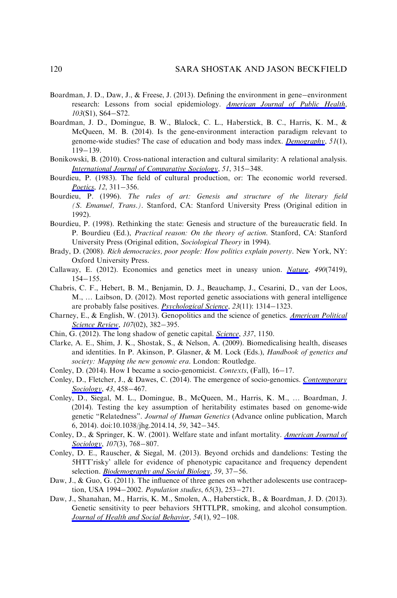- <span id="page-23-0"></span>Boardman, J. D., Daw, J., & Freese, J. (2013). Defining the environment in gene–environment research: Lessons from social epidemiology. [American Journal of Public Health](http://www.emeraldinsight.com/action/showLinks?crossref=10.2105%2FAJPH.2013.301355),  $103(S1)$ , S64-S72.
- Boardman, J. D., Domingue, B. W., Blalock, C. L., Haberstick, B. C., Harris, K. M., & McQueen, M. B. (2014). Is the gene-environment interaction paradigm relevant to genome-wide studies? The case of education and body mass index. [Demography](http://www.emeraldinsight.com/action/showLinks?crossref=10.1007%2Fs13524-013-0259-4),  $51(1)$ , 119-139.
- Bonikowski, B. (2010). Cross-national interaction and cultural similarity: A relational analysis. [International Journal of Comparative Sociology](http://www.emeraldinsight.com/action/showLinks?crossref=10.1177%2F0020715210376854), 51, 315-348.
- Bourdieu, P. (1983). The field of cultural production, or: The economic world reversed. [Poetics](http://www.emeraldinsight.com/action/showLinks?crossref=10.1016%2F0304-422X%2883%2990012-8),  $12, 311 - 356$ .
- Bourdieu, P. (1996). The rules of art: Genesis and structure of the literary field (S. Emanuel, Trans.). Stanford, CA: Stanford University Press (Original edition in 1992).
- Bourdieu, P. (1998). Rethinking the state: Genesis and structure of the bureaucratic field. In P. Bourdieu (Ed.), Practical reason: On the theory of action. Stanford, CA: Stanford University Press (Original edition, Sociological Theory in 1994).
- Brady, D. (2008). Rich democracies, poor people: How politics explain poverty. New York, NY: Oxford University Press.
- Callaway, E. (2012). Economics and genetics meet in uneasy union. [Nature](http://www.emeraldinsight.com/action/showLinks?crossref=10.1038%2F490154a), 490(7419), 154-155.
- Chabris, C. F., Hebert, B. M., Benjamin, D. J., Beauchamp, J., Cesarini, D., van der Loos, M., … Laibson, D. (2012). Most reported genetic associations with general intelligence are probably false positives. *[Psychological Science](http://www.emeraldinsight.com/action/showLinks?crossref=10.1177%2F0956797611435528)*, 23(11): 1314–1323.
- Charney, E., & English, W. (2013). Genopolitics and the science of genetics. [American Political](http://www.emeraldinsight.com/action/showLinks?crossref=10.1017%2FS0003055413000099) [Science Review](http://www.emeraldinsight.com/action/showLinks?crossref=10.1017%2FS0003055413000099), 107(02), 382-395.
- Chin, G. (2012). The long shadow of genetic capital. [Science](http://www.emeraldinsight.com/action/showLinks?crossref=10.1126%2Fscience.337.6099.1150-b), 337, 1150.
- Clarke, A. E., Shim, J. K., Shostak, S., & Nelson, A. (2009). Biomedicalising health, diseases and identities. In P. Akinson, P. Glasner, & M. Lock (Eds.), Handbook of genetics and society: Mapping the new genomic era. London: Routledge.
- Conley, D. (2014). How I became a socio-genomicist. Contexts, (Fall),  $16-17$ .
- Conley, D., Fletcher, J., & Dawes, C. (2014). The emergence of socio-genomics. [Contemporary](http://www.emeraldinsight.com/action/showLinks?crossref=10.1177%2F0094306114539640) [Sociology](http://www.emeraldinsight.com/action/showLinks?crossref=10.1177%2F0094306114539640), 43, 458-467.
- Conley, D., Siegal, M. L., Domingue, B., McQueen, M., Harris, K. M., … Boardman, J. (2014). Testing the key assumption of heritability estimates based on genome-wide genetic "Relatedness". Journal of Human Genetics (Advance online publication, March 6, 2014). doi:10.1038/jhg.2014.14, 59, 342-345.
- Conley, D., & Springer, K. W. (2001). Welfare state and infant mortality. [American Journal of](http://www.emeraldinsight.com/action/showLinks?crossref=10.1086%2F338781)  $Sociology, 107(3), 768-807.$  $Sociology, 107(3), 768-807.$
- Conley, D. E., Rauscher, & Siegal, M. (2013). Beyond orchids and dandelions: Testing the 5HTT'risky' allele for evidence of phenotypic capacitance and frequency dependent selection. *[Biodemography and Social Biology](http://www.emeraldinsight.com/action/showLinks?crossref=10.1080%2F19485565.2013.774620)*, 59, 37–56.
- Daw, J., & Guo, G. (2011). The influence of three genes on whether adolescents use contraception, USA 1994 $-2002$ . *Population studies*,  $65(3)$ ,  $253-271$ .
- Daw, J., Shanahan, M., Harris, K. M., Smolen, A., Haberstick, B., & Boardman, J. D. (2013). Genetic sensitivity to peer behaviors 5HTTLPR, smoking, and alcohol consumption. [Journal of Health and Social Behavior](http://www.emeraldinsight.com/action/showLinks?crossref=10.1177%2F0022146512468591), 54(1), 92-108.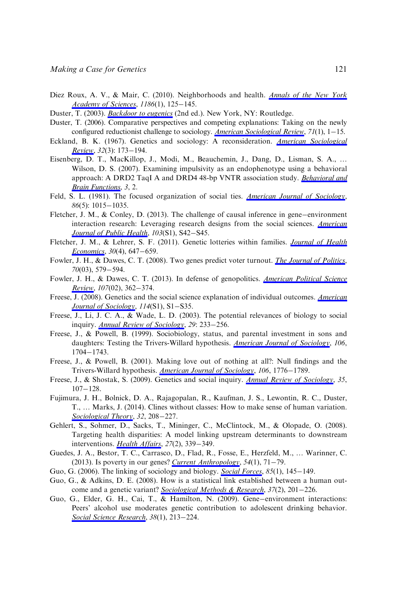- <span id="page-24-0"></span>Diez Roux, A. V., & Mair, C. (2010). Neighborhoods and health. [Annals of the New York](http://www.emeraldinsight.com/action/showLinks?crossref=10.1111%2Fj.1749-6632.2009.05333.x) [Academy of Sciences](http://www.emeraldinsight.com/action/showLinks?crossref=10.1111%2Fj.1749-6632.2009.05333.x), 1186(1), 125-145.
- Duster, T. (2003). *[Backdoor to eugenics](http://www.emeraldinsight.com/action/showLinks?crossref=10.4324%2F9780203426951)* (2nd ed.). New York, NY: Routledge.
- Duster, T. (2006). Comparative perspectives and competing explanations: Taking on the newly configured reductionist challenge to sociology. [American Sociological Review](http://www.emeraldinsight.com/action/showLinks?crossref=10.1177%2F000312240607100101), 71(1),  $1-15$ .
- Eckland, B. K. (1967). Genetics and sociology: A reconsideration. [American Sociological](http://www.emeraldinsight.com/action/showLinks?crossref=10.2307%2F2091810) [Review](http://www.emeraldinsight.com/action/showLinks?crossref=10.2307%2F2091810), 32(3): 173-194.
- Eisenberg, D. T., MacKillop, J., Modi, M., Beauchemin, J., Dang, D., Lisman, S. A., … Wilson, D. S. (2007). Examining impulsivity as an endophenotype using a behavioral approach: A DRD2 TaqI A and DRD4 48-bp VNTR association study. [Behavioral and](http://www.emeraldinsight.com/action/showLinks?crossref=10.1186%2F1744-9081-3-2) [Brain Functions](http://www.emeraldinsight.com/action/showLinks?crossref=10.1186%2F1744-9081-3-2), 3, 2.
- Feld, S. L. (1981). The focused organization of social ties. *[American Journal of Sociology](http://www.emeraldinsight.com/action/showLinks?crossref=10.1086%2F227352)*,  $86(5)$ : 1015-1035.
- Fletcher, J. M., & Conley, D. (2013). The challenge of causal inference in gene-environment interaction research: Leveraging research designs from the social sciences. **[American](http://www.emeraldinsight.com/action/showLinks?crossref=10.2105%2FAJPH.2013.301290)** [Journal of Public Health](http://www.emeraldinsight.com/action/showLinks?crossref=10.2105%2FAJPH.2013.301290), 103(S1), S42-S45.
- Fletcher, J. M., & Lehrer, S. F. (2011). Genetic lotteries within families. [Journal of Health](http://www.emeraldinsight.com/action/showLinks?crossref=10.1016%2Fj.jhealeco.2011.04.005) [Economics](http://www.emeraldinsight.com/action/showLinks?crossref=10.1016%2Fj.jhealeco.2011.04.005),  $30(4)$ ,  $647-659$ .
- Fowler, J. H., & Dawes, C. T. (2008). Two genes predict voter turnout. *[The Journal of Politics](http://www.emeraldinsight.com/action/showLinks?crossref=10.1017%2FS0022381608080638)*,  $70(03)$ ,  $579-594$ .
- Fowler, J. H., & Dawes, C. T. (2013). In defense of genopolitics. [American Political Science](http://www.emeraldinsight.com/action/showLinks?crossref=10.1017%2FS0003055413000063) [Review](http://www.emeraldinsight.com/action/showLinks?crossref=10.1017%2FS0003055413000063),  $107(02)$ ,  $362-374$ .
- Freese, J. (2008). Genetics and the social science explanation of individual outcomes. [American](http://www.emeraldinsight.com/action/showLinks?crossref=10.1086%2F592208) [Journal of Sociology](http://www.emeraldinsight.com/action/showLinks?crossref=10.1086%2F592208), 114(S1), S1-S35.
- Freese, J., Li, J. C. A., & Wade, L. D. (2003). The potential relevances of biology to social inquiry. **[Annual Review of Sociology](http://www.emeraldinsight.com/action/showLinks?crossref=10.1146%2Fannurev.soc.29.010202.100012)**, 29: 233–256.
- Freese, J., & Powell, B. (1999). Sociobiology, status, and parental investment in sons and daughters: Testing the Trivers-Willard hypothesis. [American Journal of Sociology](http://www.emeraldinsight.com/action/showLinks?crossref=10.1086%2F210221), 106, 1704-1743.
- Freese, J., & Powell, B. (2001). Making love out of nothing at all?: Null findings and the Trivers-Willard hypothesis. [American Journal of Sociology](http://www.emeraldinsight.com/action/showLinks?crossref=10.1086%2F321304), 106, 1776–1789.
- Freese, J., & Shostak, S. (2009). Genetics and social inquiry. [Annual Review of Sociology](http://www.emeraldinsight.com/action/showLinks?crossref=10.1146%2Fannurev-soc-070308-120040), 35,  $107 - 128$ .
- Fujimura, J. H., Bolnick, D. A., Rajagopalan, R., Kaufman, J. S., Lewontin, R. C., Duster, T., … Marks, J. (2014). Clines without classes: How to make sense of human variation. [Sociological Theory](http://www.emeraldinsight.com/action/showLinks?crossref=10.1177%2F0735275114551611), 32,  $208-227$ .
- Gehlert, S., Sohmer, D., Sacks, T., Mininger, C., McClintock, M., & Olopade, O. (2008). Targeting health disparities: A model linking upstream determinants to downstream interventions. [Health Affairs](http://www.emeraldinsight.com/action/showLinks?crossref=10.1377%2Fhlthaff.27.2.339), 27(2), 339-349.
- Guedes, J. A., Bestor, T. C., Carrasco, D., Flad, R., Fosse, E., Herzfeld, M., … Warinner, C. (2013). Is poverty in our genes? [Current Anthropology](http://www.emeraldinsight.com/action/showLinks?crossref=10.1086%2F669034),  $54(1)$ ,  $71-79$ .
- Guo, G. (2006). The linking of sociology and biology. [Social Forces](http://www.emeraldinsight.com/action/showLinks?crossref=10.1353%2Fsof.2006.0126),  $85(1)$ ,  $145-149$ .
- Guo, G., & Adkins, D. E. (2008). How is a statistical link established between a human out-come and a genetic variant? [Sociological Methods & Research](http://www.emeraldinsight.com/action/showLinks?crossref=10.1177%2F0049124108324526), 37(2), 201-226.
- Guo, G., Elder, G. H., Cai, T., & Hamilton, N. (2009). Gene-environment interactions: Peers' alcohol use moderates genetic contribution to adolescent drinking behavior. [Social Science Research](http://www.emeraldinsight.com/action/showLinks?crossref=10.1016%2Fj.ssresearch.2008.04.002), 38(1), 213-224.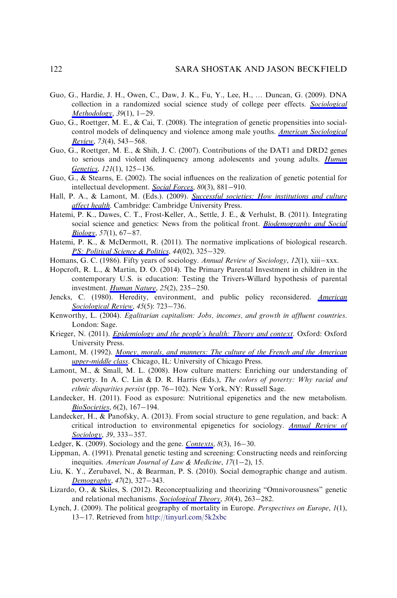- <span id="page-25-0"></span>Guo, G., Hardie, J. H., Owen, C., Daw, J. K., Fu, Y., Lee, H., … Duncan, G. (2009). DNA collection in a randomized social science study of college peer effects. [Sociological](http://www.emeraldinsight.com/action/showLinks?crossref=10.1111%2Fj.1467-9531.2009.01214.x) [Methodology](http://www.emeraldinsight.com/action/showLinks?crossref=10.1111%2Fj.1467-9531.2009.01214.x),  $39(1)$ ,  $1-29$ .
- Guo, G., Roettger, M. E., & Cai, T. (2008). The integration of genetic propensities into social-control models of delinquency and violence among male youths. [American Sociological](http://www.emeraldinsight.com/action/showLinks?crossref=10.1177%2F000312240807300402) [Review](http://www.emeraldinsight.com/action/showLinks?crossref=10.1177%2F000312240807300402), 73(4), 543-568.
- Guo, G., Roettger, M. E., & Shih, J. C. (2007). Contributions of the DAT1 and DRD2 genes to serious and violent delinquency among adolescents and young adults. *[Human](http://www.emeraldinsight.com/action/showLinks?crossref=10.1007%2Fs00439-006-0244-8)* [Genetics](http://www.emeraldinsight.com/action/showLinks?crossref=10.1007%2Fs00439-006-0244-8), 121(1), 125-136.
- Guo, G., & Stearns, E. (2002). The social influences on the realization of genetic potential for intellectual development. [Social Forces](http://www.emeraldinsight.com/action/showLinks?crossref=10.1353%2Fsof.2002.0007), 80(3), 881-910.
- Hall, P. A., & Lamont, M. (Eds.). (2009). [Successful societies: How institutions and culture](http://www.emeraldinsight.com/action/showLinks?crossref=10.1017%2FCBO9780511816192) [affect health](http://www.emeraldinsight.com/action/showLinks?crossref=10.1017%2FCBO9780511816192). Cambridge: Cambridge University Press.
- Hatemi, P. K., Dawes, C. T., Frost-Keller, A., Settle, J. E., & Verhulst, B. (2011). Integrating social science and genetics: News from the political front. [Biodemography and Social](http://www.emeraldinsight.com/action/showLinks?crossref=10.1080%2F19485565.2011.568276)  $Biology, 57(1), 67-87.$  $Biology, 57(1), 67-87.$
- Hatemi, P. K., & McDermott, R. (2011). The normative implications of biological research. [PS: Political Science & Politics](http://www.emeraldinsight.com/action/showLinks?crossref=10.1017%2FS1049096511000175), 44(02), 325-329.
- Homans, G. C. (1986). Fifty years of sociology. Annual Review of Sociology, 12(1), xiii-xxx.
- Hopcroft, R. L., & Martin, D. O. (2014). The Primary Parental Investment in children in the contemporary U.S. is education: Testing the Trivers-Willard hypothesis of parental investment. *[Human Nature](http://www.emeraldinsight.com/action/showLinks?crossref=10.1007%2Fs12110-014-9197-0)*,  $25(2)$ ,  $235-250$ .
- Jencks, C. (1980). Heredity, environment, and public policy reconsidered. [American](http://www.emeraldinsight.com/action/showLinks?crossref=10.2307%2F2094892) [Sociological Review](http://www.emeraldinsight.com/action/showLinks?crossref=10.2307%2F2094892),  $45(5)$ :  $723-736$ .
- Kenworthy, L. (2004). Egalitarian capitalism: Jobs, incomes, and growth in affluent countries. London: Sage.
- Krieger, N. (2011). *[Epidemiology and the people's health: Theory and context](http://www.emeraldinsight.com/action/showLinks?crossref=10.1093%2Facprof%3Aoso%2F9780195383874.001.0001)*. Oxford: Oxford University Press.
- Lamont, M. (1992). [Money, morals, and manners: The culture of the French and the American](http://www.emeraldinsight.com/action/showLinks?crossref=10.7208%2Fchicago%2F9780226922591.001.0001) [upper-middle class](http://www.emeraldinsight.com/action/showLinks?crossref=10.7208%2Fchicago%2F9780226922591.001.0001). Chicago, IL: University of Chicago Press.
- Lamont, M., & Small, M. L. (2008). How culture matters: Enriching our understanding of poverty. In A. C. Lin & D. R. Harris (Eds.), The colors of poverty: Why racial and ethnic disparities persist (pp. 76-102). New York, NY: Russell Sage.
- Landecker, H. (2011). Food as exposure: Nutritional epigenetics and the new metabolism.  $BioSocieties, 6(2), 167-194.$  $BioSocieties, 6(2), 167-194.$
- Landecker, H., & Panofsky, A. (2013). From social structure to gene regulation, and back: A critical introduction to environmental epigenetics for sociology. **[Annual Review of](http://www.emeraldinsight.com/action/showLinks?crossref=10.1146%2Fannurev-soc-071312-145707)** [Sociology](http://www.emeraldinsight.com/action/showLinks?crossref=10.1146%2Fannurev-soc-071312-145707), 39, 333-357.
- Ledger, K. (2009). Sociology and the gene. [Contexts](http://www.emeraldinsight.com/action/showLinks?crossref=10.1525%2Fctx.2009.8.3.16),  $8(3)$ ,  $16-30$ .
- Lippman, A. (1991). Prenatal genetic testing and screening: Constructing needs and reinforcing inequities. American Journal of Law & Medicine,  $17(1-2)$ , 15.
- Liu, K. Y., Zerubavel, N., & Bearman, P. S. (2010). Social demographic change and autism. [Demography](http://www.emeraldinsight.com/action/showLinks?crossref=10.1353%2Fdem.0.0101),  $47(2)$ ,  $327-343$ .
- Lizardo, O., & Skiles, S. (2012). Reconceptualizing and theorizing "Omnivorousness" genetic and relational mechanisms. [Sociological Theory](http://www.emeraldinsight.com/action/showLinks?crossref=10.1177%2F0735275112466999),  $30(4)$ ,  $263-282$ .
- Lynch, J. (2009). The political geography of mortality in Europe. Perspectives on Europe, 1(1), 13-17. Retrieved from <http://tinyurl.com/5k2xbc>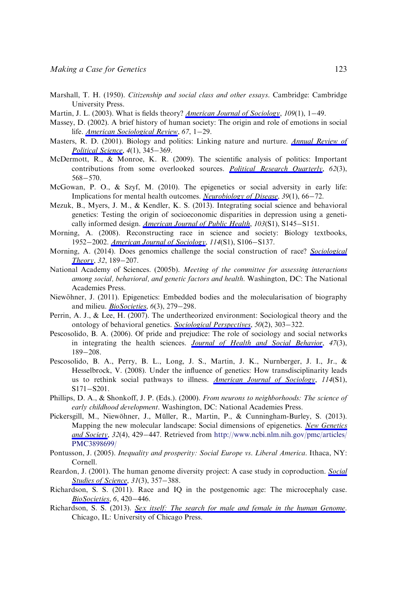- <span id="page-26-0"></span>Marshall, T. H. (1950). Citizenship and social class and other essays. Cambridge: Cambridge University Press.
- Martin, J. L. (2003). What is fields theory? *[American Journal of Sociology](http://www.emeraldinsight.com/action/showLinks?crossref=10.1086%2F375201)*, 109(1), 1–49.
- Massey, D. (2002). A brief history of human society: The origin and role of emotions in social life. **[American Sociological Review](http://www.emeraldinsight.com/action/showLinks?crossref=10.2307%2F3088931)**, 67, 1-29.
- Masters, R. D. (2001). Biology and politics: Linking nature and nurture. [Annual Review of](http://www.emeraldinsight.com/action/showLinks?crossref=10.1146%2Fannurev.polisci.4.1.345) [Political Science](http://www.emeraldinsight.com/action/showLinks?crossref=10.1146%2Fannurev.polisci.4.1.345),  $4(1)$ ,  $345-369$ .
- McDermott, R., & Monroe, K. R. (2009). The scientific analysis of politics: Important contributions from some overlooked sources. [Political Research Quarterly](http://www.emeraldinsight.com/action/showLinks?crossref=10.1177%2F1065912909343914), 62(3),  $568 - 570.$
- McGowan, P. O., & Szyf, M. (2010). The epigenetics or social adversity in early life: Implications for mental health outcomes. *[Neurobiology of Disease](http://www.emeraldinsight.com/action/showLinks?crossref=10.1016%2Fj.nbd.2009.12.026)*, 39(1), 66-72.
- Mezuk, B., Myers, J. M., & Kendler, K. S. (2013). Integrating social science and behavioral genetics: Testing the origin of socioeconomic disparities in depression using a genetically informed design. *[American Journal of Public Health](http://www.emeraldinsight.com/action/showLinks?crossref=10.2105%2FAJPH.2013.301247)*, 103(S1), S145-S151.
- Morning, A. (2008). Reconstructing race in science and society: Biology textbooks, 1952-2002. [American Journal of Sociology](http://www.emeraldinsight.com/action/showLinks?crossref=10.1086%2F592206), 114(S1), S106-S137.
- Morning, A. (2014). Does genomics challenge the social construction of race? [Sociological](http://www.emeraldinsight.com/action/showLinks?crossref=10.1177%2F0735275114550881) [Theory](http://www.emeraldinsight.com/action/showLinks?crossref=10.1177%2F0735275114550881), 32,  $189 - 207$ .
- National Academy of Sciences. (2005b). Meeting of the committee for assessing interactions among social, behavioral, and genetic factors and health. Washington, DC: The National Academies Press.
- Niewöhner, J. (2011). Epigenetics: Embedded bodies and the molecularisation of biography and milieu. *[BioSocieties](http://www.emeraldinsight.com/action/showLinks?crossref=10.1057%2Fbiosoc.2011.4)*,  $6(3)$ ,  $279-298$ .
- Perrin, A. J., & Lee, H. (2007). The undertheorized environment: Sociological theory and the ontology of behavioral genetics. [Sociological Perspectives](http://www.emeraldinsight.com/action/showLinks?crossref=10.1525%2Fsop.2007.50.2.303),  $50(2)$ ,  $303-322$ .
- Pescosolido, B. A. (2006). Of pride and prejudice: The role of sociology and social networks in integrating the health sciences. [Journal of Health and Social Behavior](http://www.emeraldinsight.com/action/showLinks?crossref=10.1177%2F002214650604700301),  $47(3)$ , 189-208.
- Pescosolido, B. A., Perry, B. L., Long, J. S., Martin, J. K., Nurnberger, J. I., Jr., & Hesselbrock, V. (2008). Under the influence of genetics: How transdisciplinarity leads us to rethink social pathways to illness. [American Journal of Sociology](http://www.emeraldinsight.com/action/showLinks?crossref=10.1086%2F592209), 114(S1),  $S171 - S201$ .
- Phillips, D. A., & Shonkoff, J. P. (Eds.). (2000). From neurons to neighborhoods: The science of early childhood development. Washington, DC: National Academies Press.
- Pickersgill, M., Niewöhner, J., Müller, R., Martin, P., & Cunningham-Burley, S. (2013). Mapping the new molecular landscape: Social dimensions of epigenetics. [New Genetics](http://www.emeraldinsight.com/action/showLinks?crossref=10.1080%2F14636778.2013.861739) [and Society](http://www.emeraldinsight.com/action/showLinks?crossref=10.1080%2F14636778.2013.861739), 32(4), 429-447. Retrieved from [http://www.ncbi.nlm.nih.gov/pmc/articles/](http://www.ncbi.nlm.nih.gov/pmc/articles/PMC3898699/) [PMC3898699/](http://www.ncbi.nlm.nih.gov/pmc/articles/PMC3898699/)
- Pontusson, J. (2005). Inequality and prosperity: Social Europe vs. Liberal America. Ithaca, NY: Cornell.
- Reardon, J. (2001). The human genome diversity project: A case study in coproduction. [Social](http://www.emeraldinsight.com/action/showLinks?crossref=10.1177%2F030631201031003002) [Studies of Science](http://www.emeraldinsight.com/action/showLinks?crossref=10.1177%2F030631201031003002),  $31(3)$ ,  $357-388$ .
- Richardson, S. S. (2011). Race and IQ in the postgenomic age: The microcephaly case.  $BioSocieties, 6, 420-446.$  $BioSocieties, 6, 420-446.$
- Richardson, S. S. (2013). [Sex itself: The search for male and female in the human Genome](http://www.emeraldinsight.com/action/showLinks?crossref=10.7208%2Fchicago%2F9780226084718.001.0001). Chicago, IL: University of Chicago Press.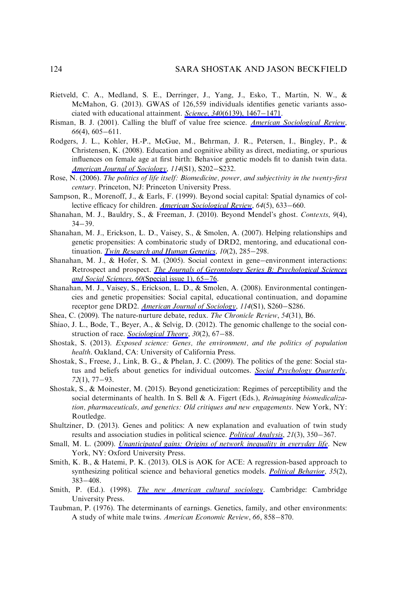- <span id="page-27-0"></span>Rietveld, C. A., Medland, S. E., Derringer, J., Yang, J., Esko, T., Martin, N. W., & McMahon, G. (2013). GWAS of 126,559 individuals identifies genetic variants associated with educational attainment. Science,  $340(6139)$ ,  $1467-1471$ .
- Risman, B. J. (2001). Calling the bluff of value free science. [American Sociological Review](http://www.emeraldinsight.com/action/showLinks?crossref=10.2307%2F3088926),  $66(4)$ ,  $605-611$ .
- Rodgers, J. L., Kohler, H.-P., McGue, M., Behrman, J. R., Petersen, I., Bingley, P., & Christensen, K. (2008). Education and cognitive ability as direct, mediating, or spurious influences on female age at first birth: Behavior genetic models fit to danish twin data. [American Journal of Sociology](http://www.emeraldinsight.com/action/showLinks?crossref=10.1086%2F592205), 114(S1), S202-S232.
- Rose, N. (2006). The politics of life itself: Biomedicine, power, and subjectivity in the twenty-first century. Princeton, NJ: Princeton University Press.
- Sampson, R., Morenoff, J., & Earls, F. (1999). Beyond social capital: Spatial dynamics of col-lective efficacy for children. [American Sociological Review](http://www.emeraldinsight.com/action/showLinks?crossref=10.2307%2F2657367), 64(5), 633–660.
- Shanahan, M. J., Bauldry, S., & Freeman, J. (2010). Beyond Mendel's ghost. Contexts, 9(4),  $34 - 39$ .
- Shanahan, M. J., Erickson, L. D., Vaisey, S., & Smolen, A. (2007). Helping relationships and genetic propensities: A combinatoric study of DRD2, mentoring, and educational con-tinuation. [Twin Research and Human Genetics](http://www.emeraldinsight.com/action/showLinks?crossref=10.1375%2Ftwin.10.2.285),  $10(2)$ ,  $285-298$ .
- Shanahan, M. J., & Hofer, S. M.  $(2005)$ . Social context in gene-environment interactions: Retrospect and prospect. *[The Journals of Gerontology Series B: Psychological Sciences](http://www.emeraldinsight.com/action/showLinks?crossref=10.1093%2Fgeronb%2F60.Special_Issue_1.65)* and Social Sciences,  $60(Special issue 1)$ ,  $65–76$ .
- Shanahan, M. J., Vaisey, S., Erickson, L. D., & Smolen, A. (2008). Environmental contingencies and genetic propensities: Social capital, educational continuation, and dopamine receptor gene DRD2. [American Journal of Sociology](http://www.emeraldinsight.com/action/showLinks?crossref=10.1086%2F592204), 114(S1), S260–S286.
- Shea, C. (2009). The nature-nurture debate, redux. The Chronicle Review, 54(31), B6.
- Shiao, J. L., Bode, T., Beyer, A., & Selvig, D. (2012). The genomic challenge to the social con-struction of race. [Sociological Theory](http://www.emeraldinsight.com/action/showLinks?crossref=10.1177%2F0735275112448053),  $30(2)$ ,  $67-88$ .
- Shostak, S. (2013). Exposed science: Genes, the environment, and the politics of population health. Oakland, CA: University of California Press.
- Shostak, S., Freese, J., Link, B. G., & Phelan, J. C. (2009). The politics of the gene: Social sta-tus and beliefs about genetics for individual outcomes. [Social Psychology Quarterly](http://www.emeraldinsight.com/action/showLinks?crossref=10.1177%2F019027250907200107),  $72(1)$ ,  $77-93$ .
- Shostak, S., & Moinester, M. (2015). Beyond geneticization: Regimes of perceptibility and the social determinants of health. In S. Bell & A. Figert (Eds.), *Reimagining biomedicaliza*tion, pharmaceuticals, and genetics: Old critiques and new engagements. New York, NY: Routledge.
- Shultziner, D. (2013). Genes and politics: A new explanation and evaluation of twin study results and association studies in political science. [Political Analysis](http://www.emeraldinsight.com/action/showLinks?crossref=10.1093%2Fpan%2Fmps035),  $21(3)$ ,  $350-367$ .
- Small, M. L. (2009). *[Unanticipated gains: Origins of network inequality in everyday life](http://www.emeraldinsight.com/action/showLinks?crossref=10.1093%2Facprof%3Aoso%2F9780195384352.001.0001)*. New York, NY: Oxford University Press.
- Smith, K. B., & Hatemi, P. K. (2013). OLS is AOK for ACE: A regression-based approach to synthesizing political science and behavioral genetics models. *[Political Behavior](http://www.emeraldinsight.com/action/showLinks?crossref=10.1007%2Fs11109-012-9192-2)*, 35(2), 383408.
- Smith, P. (Ed.). (1998). *[The new American cultural sociology](http://www.emeraldinsight.com/action/showLinks?crossref=10.1017%2FCBO9780511520808)*. Cambridge: Cambridge University Press.
- Taubman, P. (1976). The determinants of earnings. Genetics, family, and other environments: A study of white male twins. American Economic Review, 66, 858-870.